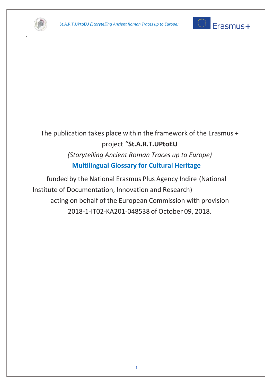

**.** 



The publication takes place within the framework of the Erasmus + project "**St.A.R.T.UPtoEU** *(Storytelling Ancient Roman Traces up to Europe)* **Multilingual Glossary for Cultural Heritage**

funded by the National Erasmus Plus Agency Indire (National Institute of Documentation, Innovation and Research) acting on behalf of the European Commission with provision 2018‐1‐IT02‐KA201‐048538 of October 09, 2018.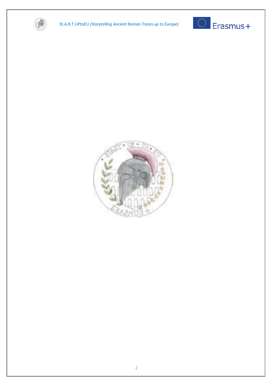



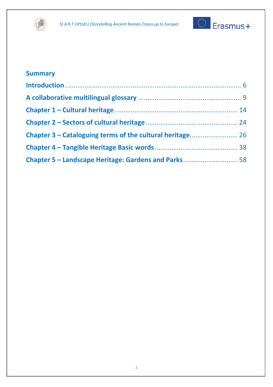



## **Summary**

| Chapter 5 - Landscape Heritage: Gardens and Parks  58 |  |
|-------------------------------------------------------|--|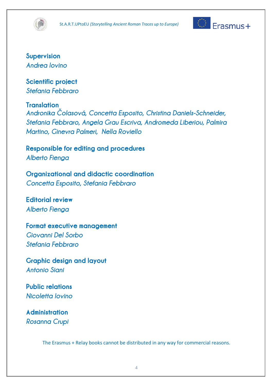



**Supervision**  *Andrea Iovino* 

**Scientific project**  *Stefania Febbraro* 

**Translation**  *Andronika Čolasová, Concetta Esposito, Christina Daniels-Schneider, Stefania Febbraro, Angela Grau Escriva, Andromeda Liberiou, Palmira Martino, Ginevra Palmeri, Nella Roviello* 

**Responsible for editing and procedures**  *Alberto Fienga* 

**Organizational and didactic coordination**  *Concetta Esposito, Stefania Febbraro* 

**Editorial review**  *Alberto Fienga* 

**Format executive management**  *Giovanni Del Sorbo Stefania Febbraro* 

**Graphic design and layout**  *Antonio Siani* 

**Public relations**  *Nicoletta Iovino* 

**Administration**  *Rosanna Crupi* 

The Erasmus + Relay books cannot be distributed in any way for commercial reasons.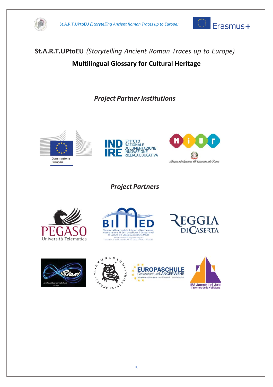



# **St.A.R.T.UPtoEU** *(Storytelling Ancient Roman Traces up to Europe)* **Multilingual Glossary for Cultural Heritage**

*Project Partner Institutions*







*Project Partners*











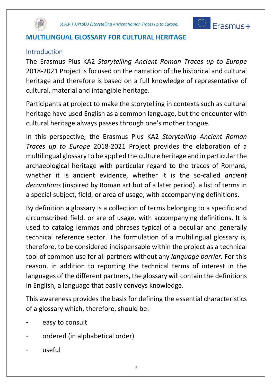



## **MULTILINGUAL GLOSSARY FOR CULTURAL HERITAGE**

## Introduction

The Erasmus Plus KA2 *Storytelling Ancient Roman Traces up to Europe* 2018‐2021 Project is focused on the narration of the historical and cultural heritage and therefore is based on a full knowledge of representative of cultural, material and intangible heritage.

Participants at project to make the storytelling in contexts such as cultural heritage have used English as a common language, but the encounter with cultural heritage always passes through one's mother tongue.

In this perspective, the Erasmus Plus KA2 *Storytelling Ancient Roman Traces up to Europe* 2018‐2021 Project provides the elaboration of a multilingual glossary to be applied the culture heritage and in particular the archaeological heritage with particular regard to the traces of Romans, whether it is ancient evidence, whether it is the so-called *ancient decorations* (inspired by Roman art but of a later period). a list of terms in a special subject, field, or area of usage, with accompanying definitions.

By definition a glossary is a collection of terms belonging to a specific and circumscribed field, or are of usage, with accompanying definitions. It is used to catalog lemmas and phrases typical of a peculiar and generally technical reference sector. The formulation of a multilingual glossary is, therefore, to be considered indispensable within the project as a technical tool of common use for all partners without any *language barrier.* For this reason, in addition to reporting the technical terms of interest in the languages of the different partners, the glossary will contain the definitions in English, a language that easily conveys knowledge.

This awareness provides the basis for defining the essential characteristics of a glossary which, therefore, should be:

- easy to consult
- ordered (in alphabetical order)
- useful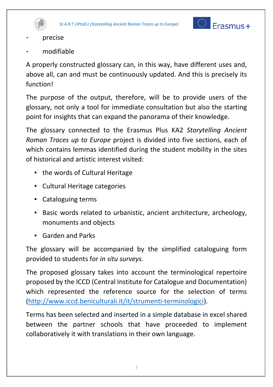



- precise
- modifiable

A properly constructed glossary can, in this way, have different uses and, above all, can and must be continuously updated. And this is precisely its function!

The purpose of the output, therefore, will be to provide users of the glossary, not only a tool for immediate consultation but also the starting point for insights that can expand the panorama of their knowledge.

The glossary connected to the Erasmus Plus KA2 *Storytelling Ancient Roman Traces up to Europe* project is divided into five sections, each of which contains lemmas identified during the student mobility in the sites of historical and artistic interest visited:

- the words of Cultural Heritage
- Cultural Heritage categories
- Cataloguing terms
- Basic words related to urbanistic, ancient architecture, archeology, monuments and objects
- Garden and Parks

The glossary will be accompanied by the simplified cataloguing form provided to students for *in situ surveys.* 

The proposed glossary takes into account the terminological repertoire proposed by the ICCD (Central Institute for Catalogue and Documentation) which represented the reference source for the selection of terms (http://www.iccd.beniculturali.it/it/strumenti‐terminologici).

Terms has been selected and inserted in a simple database in excel shared between the partner schools that have proceeded to implement collaboratively it with translations in their own language.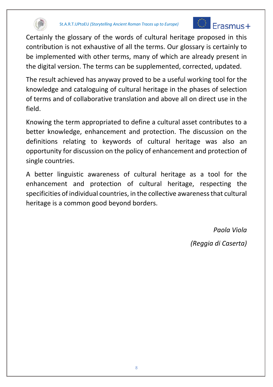



Certainly the glossary of the words of cultural heritage proposed in this contribution is not exhaustive of all the terms. Our glossary is certainly to be implemented with other terms, many of which are already present in the digital version. The terms can be supplemented, corrected, updated.

The result achieved has anyway proved to be a useful working tool for the knowledge and cataloguing of cultural heritage in the phases of selection of terms and of collaborative translation and above all on direct use in the field.

Knowing the term appropriated to define a cultural asset contributes to a better knowledge, enhancement and protection. The discussion on the definitions relating to keywords of cultural heritage was also an opportunity for discussion on the policy of enhancement and protection of single countries.

A better linguistic awareness of cultural heritage as a tool for the enhancement and protection of cultural heritage, respecting the specificities of individual countries, in the collective awareness that cultural heritage is a common good beyond borders.

> *Paola Viola (Reggia di Caserta)*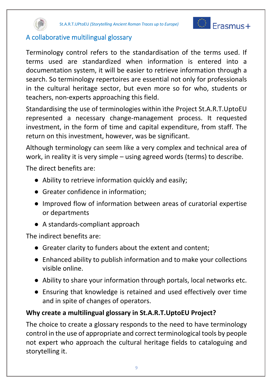



## A collaborative multilingual glossary

Terminology control refers to the standardisation of the terms used. If terms used are standardized when information is entered into a documentation system, it will be easier to retrieve information through a search. So terminology repertoires are essential not only for professionals in the cultural heritage sector, but even more so for who, students or teachers, non‐experts approaching this field.

Standardising the use of terminologies within ìthe Project St.A.R.T.UptoEU represented a necessary change‐management process. It requested investment, in the form of time and capital expenditure, from staff. The return on this investment, however, was be significant.

Although terminology can seem like a very complex and technical area of work, in reality it is very simple – using agreed words (terms) to describe.

The direct benefits are:

- Ability to retrieve information quickly and easily;
- Greater confidence in information;
- Improved flow of information between areas of curatorial expertise or departments
- A standards-compliant approach

The indirect benefits are:

- Greater clarity to funders about the extent and content;
- Enhanced ability to publish information and to make your collections visible online.
- Ability to share your information through portals, local networks etc.
- Ensuring that knowledge is retained and used effectively over time and in spite of changes of operators.

## **Why create a multilingual glossary in St.A.R.T.UptoEU Project?**

The choice to create a glossary responds to the need to have terminology control in the use of appropriate and correct terminological tools by people not expert who approach the cultural heritage fields to cataloguing and storytelling it.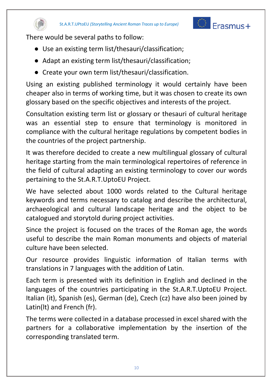



There would be several paths to follow:

- Use an existing term list/thesauri/classification;
- Adapt an existing term list/thesauri/classification;
- Create your own term list/thesauri/classification.

Using an existing published terminology it would certainly have been cheaper also in terms of working time, but it was chosen to create its own glossary based on the specific objectives and interests of the project.

Consultation existing term list or glossary or thesauri of cultural heritage was an essential step to ensure that terminology is monitored in compliance with the cultural heritage regulations by competent bodies in the countries of the project partnership.

It was therefore decided to create a new multilingual glossary of cultural heritage starting from the main terminological repertoires of reference in the field of cultural adapting an existing terminology to cover our words pertaining to the St.A.R.T.UptoEU Project.

We have selected about 1000 words related to the Cultural heritage keywords and terms necessary to catalog and describe the architectural, archaeological and cultural landscape heritage and the object to be catalogued and storytold during project activities.

Since the project is focused on the traces of the Roman age, the words useful to describe the main Roman monuments and objects of material culture have been selected.

Our resource provides linguistic information of Italian terms with translations in 7 languages with the addition of Latin.

Each term is presented with its definition in English and declined in the languages of the countries participating in the St.A.R.T.UptoEU Project. Italian (it), Spanish (es), German (de), Czech (cz) have also been joined by Latin(lt) and French (fr).

The terms were collected in a database processed in excel shared with the partners for a collaborative implementation by the insertion of the corresponding translated term.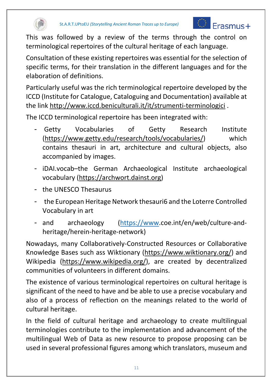



This was followed by a review of the terms through the control on terminological repertoires of the cultural heritage of each language.

Consultation of these existing repertoires was essential for the selection of specific terms, for their translation in the different languages and for the elaboration of definitions.

Particularly useful was the rich terminological repertoire developed by the ICCD (Institute for Catalogue, Cataloguing and Documentation) available at the link http://www.iccd.beniculturali.it/it/strumenti‐terminologici .

The ICCD terminological repertoire has been integrated with:

- Getty Vocabularies of Getty Research Institute (https://www.getty.edu/research/tools/vocabularies/) which contains thesauri in art, architecture and cultural objects, also accompanied by images.
- iDAI.vocab–the German Archaeological Institute archaeological vocabulary (https://archwort.dainst.org)
- the UNESCO Thesaurus
- the European Heritage Network thesauri6 and the Loterre Controlled Vocabulary in art
- and archaeology (https://www.coe.int/en/web/culture-andheritage/herein‐heritage‐network)

Nowadays, many Collaboratively‐Constructed Resources or Collaborative Knowledge Bases such ass Wiktionary (https://www.wiktionary.org/) and Wikipedia (https://www.wikipedia.org/), are created by decentralized communities of volunteers in different domains.

The existence of various terminological repertoires on cultural heritage is significant of the need to have and be able to use a precise vocabulary and also of a process of reflection on the meanings related to the world of cultural heritage.

In the field of cultural heritage and archaeology to create multilingual terminologies contribute to the implementation and advancement of the multilingual Web of Data as new resource to propose proposing can be used in several professional figures among which translators, museum and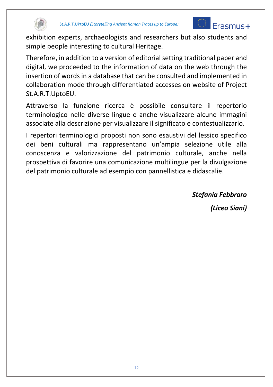



exhibition experts, archaeologists and researchers but also students and simple people interesting to cultural Heritage.

Therefore, in addition to a version of editorial setting traditional paper and digital, we proceeded to the information of data on the web through the insertion of words in a database that can be consulted and implemented in collaboration mode through differentiated accesses on website of Project St.A.R.T.UptoEU.

Attraverso la funzione ricerca è possibile consultare il repertorio terminologico nelle diverse lingue e anche visualizzare alcune immagini associate alla descrizione per visualizzare il significato e contestualizzarlo.

I repertori terminologici proposti non sono esaustivi del lessico specifico dei beni culturali ma rappresentano un'ampia selezione utile alla conoscenza e valorizzazione del patrimonio culturale, anche nella prospettiva di favorire una comunicazione multilingue per la divulgazione del patrimonio culturale ad esempio con pannellistica e didascalie.

*Stefania Febbraro* 

*(Liceo Siani)*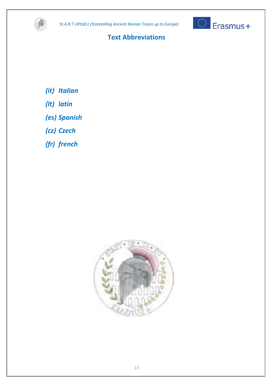



## **Text Abbreviations**

- *(it) Italian*
- *(lt) latin*
- *(es) Spanish*
- *(cz) Czech*
- *(fr) french*

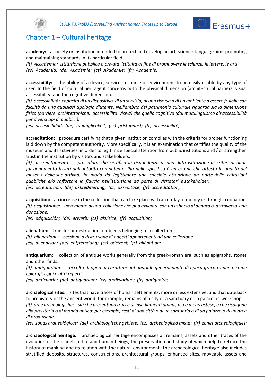

## Chapter 1 – Cultural heritage

**academy:** a society or institution intended to protect and develop an art, science, language aims promoting and maintaining standards in its particular field.

*(it) Accademia: Istituzione pubblica o privata istituita al fine di promuovere le scienze, le lettere, le arti (es) Academia; (de) Akademie; (cz) Akademie; (fr) Académie;* 

**accessibility:** the ability of a device, service, resource or environment to be easily usable by any type of user. In the field of cultural heritage it concerns both the physical dimension (architectural barriers, visual accessibility) and the cognitive dimension.

*(it) accessibilità: capacità di un dispositivo, di un servizio, di una risorsa o di un ambiente d'essere fruibile con facilità da una qualsiasi tipologia d'utente. Nell'ambito del patrimonio culturale riguarda sia la dimensione fisica (barriere architettoniche, accessibilità visiva) che quella cognitiva (dal multilinguismo all'accessibilità per diversi tipi di pubblici).* 

*(es) accesibilidad; (de) zugänglichkeit; (cz) přístupnost; (fr) accessibilité;* 

**accreditation:** procedure certifying that a given Institution complies with the criteria for proper functioning laid down by the competent authority. More specifically, it is an examination that certifies the quality of the museum and its activities, in order to legitimize special attention from public institutions and / or strengthen trust in the institution by visitors and stakeholders.

*(it) accreditamento: procedura che certifica la rispondenza di una data istituzione ai criteri di buon funzionamento fissati dall'autorità competente. Più nello specifico è un esame che attesta la qualità del museo e delle sue attività, in modo da legittimare una speciale attenzione da parte delle istituzioni pubbliche e/o rafforzare la fiducia nell'istituzione da parte di visitatori e stakeholder. (es) acreditación; (de) akkreditierung; (cz) akreditace; (fr) accréditation;* 

**acquisition:** an increase in the collection that can take place with an outlay of money or through a donation. *(it) acquisizione: incremento di una collezione che può avvenire con un esborso di denaro o attraverso una donazione.* 

*(es) adquisición; (de) erwerb; (cz) akvizice; (fr) acquisition;* 

**alienation:** transfer or destruction of objects belonging to a collection.

*(it) alienazione: cessione o distruzione di oggetti appartenenti ad una collezione.* 

*(es) alienación; (de) entfremdung; (cz) odcizení; (fr) aliénation;* 

antiquarium: collection of antique works generally from the greek-roman era, such as epigraphs, stones and other finds.

*(it) antiquarium: raccolta di opere a carattere antiquariale generalmente di epoca greco‐romana, come epigrafi, cippi e altri reperti.* 

*(es) anticuario; (de) antiquarium; (cz) antikvarium; (fr) antiquaire;* 

**archaelogical sites:**  sites that have traces of human settlements, more or less extensive, and that date back to prehistory or the ancient world: for example, remains of a city or a sanctuary or a palace or workshop *(it) aree archeologiche: siti che presentano tracce di insediamenti umani, più o meno estese, e che risalgono alla preistoria o al mondo antico: per esempio, resti di una città o di un santuario o di un palazzo o di un'area di produzione* 

*(es) zonas arqueológicas; (de) archäologische gebiete; (cz) archeologická místa; (fr) zones archéologiques;* 

**archaeological heritage:** archaeological heritage encompasses all remains, assets and other traces of the evolution of the planet, of life and human beings, the preservation and study of which help to retrace the history of mankind and its relation with the natural environment. The archaeological heritage also includes stratified deposits, structures, constructions, architectural groups, enhanced sites, moveable assets and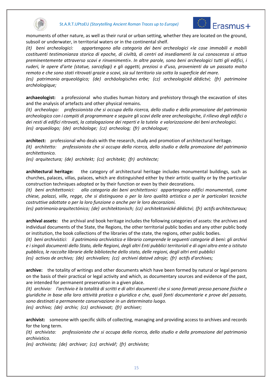



monuments of other nature, as well as their rural or urban setting, whether they are located on the ground, subsoil or underwater, in territorial waters or in the continental shelf.

*(it) beni archeologici: appartengono alla categoria dei beni archeologici «le cose immobili e mobili costituenti testimonianza storica di epoche, di civiltà, di centri od insediamenti la cui conoscenza si attua preminentemente attraverso scavi e rinvenimenti». In altre parole, sono beni archeologici tutti gli edifici, i ruderi, le opere d'arte (statue, sarcofagi) e gli oggetti, preziosi o d'uso, provenienti da un passato molto remoto e che sono stati ritrovati grazie a scavi, sia sul territorio sia sotto la superficie del mare.* 

*(es) patrimonio arqueológico; (de) archäologisches erbe; (cz) archeologické dědictví; (fr) patrimoine archéologique;* 

archaeologist: a professional who studies human history and prehistory through the excavation of sites and the analysis of artefacts and other physical remains.

*(it) archeologo: professionista che si occupa della ricerca, dello studio e della promozione del patrimonio archeologico con i compiti di programmare e seguire gli scavi delle aree archeologiche, il rilievo degli edifici o dei resti di edifici ritrovati, la catalogazione dei reperti e la tutela e valorizzazione dei beni archeologici. (es) arqueólogo; (de) archäologe; (cz) archeolog; (fr) archéologue;* 

**architect:** professional who deals with the research, study and promotion of architectural heritage. *(it) architetto: professionista che si occupa della ricerca, dello studio e della promozione del patrimonio architettonico.* 

*(es) arquitectura; (de) architekt; (cz) architekt; (fr) architecte;* 

**architectural heritage:** the category of architectural heritage includes monumental buildings, such as churches, palaces, villas, palaces, which are distinguished either by their artistic quality or by the particular construction techniques adopted or by their function or even by their decorations.

*(it) beni architettonici: alla categoria dei beni architettonici appartengono edifici monumentali, come chiese, palazzi, ville, regge, che si distinguono o per la loro qualità artistica o per le particolari tecniche costruttive adottate o per la loro funzione o anche per le loro decorazioni.* 

*(es) patrimonio arquitectónico; (de) architektonisch; (cz) architektonické dědictví; (fr) actifs architecturaux;* 

**archival assets:** the archival and book heritage includes the following categories of assets: the archives and individual documents of the State, the Regions, the other territorial public bodies and any other public body or institution, the book collections of the libraries of the state, the regions, other public bodies.

*(it) beni archivistici: il patrimonio archivistico e librario comprende le seguenti categorie di beni: gli archivi e i singoli documenti dello Stato, delle Regioni, degli altri Enti pubblici territoriali e di ogni altro ente o istituto pubblico, le raccolte librarie delle biblioteche dello stato, delle regioni, degli altri enti pubblici (es) activos de archivo; (de) archivalien; (cz) archivní datové zdroje; (fr) actifs d'archives;* 

**archive:** the totality of writings and other documents which have been formed by natural or legal persons on the basis of their practical or legal activity and which, as documentary sources and evidence of the past, are intended for permanent preservation in a given place.

*(it) archivio: l'archivio è la totalità di scritti e di altri documenti che si sono formati presso persone fisiche o giuridiche in base alla loro attività pratica o giuridica e che, quali fonti documentarie e prove del passato, sono destinati a permanente conservazione in un determinato luogo. (es) archivo; (de) archiv; (cz) archivovat; (fr) archiver;* 

**archivist:** someone with specific skills of collecting, managing and providing access to archives and records for the long term.

*(it) archivista: professionista che si occupa della ricerca, dello studio e della promozione del patrimonio archivistico.* 

*(es) archivista; (de) archivar; (cz) archivář; (fr) archiviste;*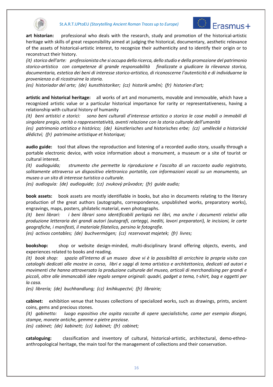



**art historian:** professional who deals with the research, study and promotion of the historical-artistic heritage with skills of great responsibility aimed at judging the historical, documentary, aesthetic relevance of the assets of historical‐artistic interest, to recognize their authenticity and to identify their origin or to reconstruct their history.

*(it) storico dell'arte: professionista che si occupa della ricerca, dello studio e della promozione del patrimonio storico‐artistico con competenze di grande responsabilità finalizzate a giudicare la rilevanza storica, documentaria, estetica dei beni di interesse storico‐artistico, di riconoscerne l'autenticità e di individuarne la provenienza o di ricostruirne la storia.* 

*(es) historiador del arte; (de) kunsthistoriker; (cz) historik umění; (fr) historien d'art;* 

**artistic and historical heritage:** all works of art and monuments, movable and immovable, which have a recognized artistic value or a particular historical importance for rarity or representativeness, having a relationship with cultural history of humanity

*(it) beni artistici e storici: sono beni culturali d'interesse artistico o storico le cose mobili o immobili di singolare pregio, rarità o rappresentatività, aventi relazione con la storia culturale dell'umanità* 

*(es) patrimonio artístico e histórico; (de) künstlerisches und historisches erbe; (cz) umělecké a historické dědictví; (fr) patrimoine artistique et historique;* 

**audio guide:** tool that allows the reproduction and listening of a recorded audio story, usually through a portable electronic device, with voice information about a monument, a museum or a site of tourist or cultural interest.

*(it) audioguida; strumento che permette la riproduzione e l'ascolto di un racconto audio registrato, solitamente attraverso un dispositivo elettronico portatile, con informazioni vocali su un monumento, un museo o un sito di interesse turistico o culturale.* 

*(es) audioguía: (de) audioguide; (cz) zvukový průvodce; (fr) guide audio;* 

**book assets:** book assets are mostly identifiable in books, but also in documents relating to the literary production of the great authors (autographs, correspondence, unpublished works, preparatory works), engravings, maps, posters, philatelic material, even photographs.

*(it) beni librari: i beni librari sono identificabili perlopiù nei libri, ma anche i documenti relativi alla produzione letteraria dei grandi autori (autografi, carteggi, inediti, lavori preparatori), le incisioni, le carte geografiche, i manifesti, il materiale filatelico, persino le fotografie.* 

*(es) activos contables; (de) buchvermögen; (cz) rezervovat majetek; (fr) livres;* 

**bookshop:** shop or website design-minded, multi-disciplinary brand offering objects, events, and experiences related to books and reading.

*(it) book shop: spazio all'interno di un museo dove vi è la possibilità di arricchire la propria visita con cataloghi dedicati alle mostre in corso, libri e saggi di tema artistico e architettonico, dedicati ad autori e movimenti che hanno attraversato la produzione culturale del museo, articoli di merchandising per grandi e piccoli, oltre alle immancabili idee regalo sempre originali: quadri, gadget a tema, t‐shirt, bag e oggetti per la casa.* 

*(es) librería; (de) buchhandlung; (cz) knihkupectví; (fr) librairie;* 

**cabinet:** exhibition venue that houses collections of specialized works, such as drawings, prints, ancient coins, gems and precious stones.

*(it) gabinetto: luogo espositivo che ospita raccolte di opere specialistiche, come per esempio disegni, stampe, monete antiche, gemme e pietre preziose.* 

*(es) cabinet; (de) kabinett; (cz) kabinet; (fr) cabinet;* 

**cataloguing:** classification and inventory of cultural, historical‐artistic, architectural, demo‐ethno‐ anthropological heritage, the main tool for the management of collections and their conservation.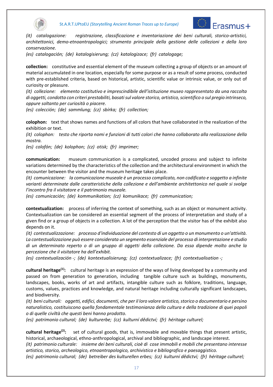



*(it) catalogazione: registrazione, classificazione e inventariazione dei beni culturali, storico‐artistici, architettonici, demo‐etnoantropologici; strumento principale della gestione delle collezioni e della loro conservazione.* 

*(es) catalogación; (de) katalogisierung; (cz) katalogizace; (fr) catalogage;* 

**collection:** constitutive and essential element of the museum collecting a group of objects or an amount of material accumulated in one location, especially for some purpose or as a result of some process, conducted with pre-established criteria, based on historical, artistic, scientific value or intrinsic value, or only out of curiosity or pleasure.

*(it) collezione: elemento costitutivo e imprescindibile dell'istituzione museo rappresentato da una raccolta di oggetti, condotta con criteri prestabiliti, basati sul valore storico, artistico, scientifico o sul pregio intrinseco, oppure soltanto per curiosità o piacere.* 

*(es) colección; (de) sammlung; (cz) sbírka; (fr) collection;* 

**colophon:** text that shows names and functions of all colors that have collaborated in the realization of the exhibition or text.

*(it) colophon: testo che riporta nomi e funzioni di tutti colori che hanno collaborato alla realizzazione della mostra.* 

*(es) colofón; (de) kolophon; (cz) otisk; (fr) imprimer;* 

**communication:** museum communication is a complicated, uncoded process and subject to infinite variations determined by the characteristics of the collection and the architectural environment in which the encounter between the visitor and the museum heritage takes place.

*(it) comunicazione: la comunicazione museale è un processo complicato, non codificato e soggetto a infinite varianti determinate dalle caratteristiche della collezione e dell'ambiente architettonico nel quale si svolge l'incontro fra il visitatore e il patrimonio museale.* 

*(es) comunicación; (de) kommunikation; (cz) komunikace; (fr) communication;* 

**contextualization:** process of inferring the context of something, such as an object or monument activity. Contextualization can be considered an essential segment of the process of interpretation and study of a given find or a group of objects in a collection. A lot of the perception that the visitor has of the exhibit also depends on it.

*(it) contestualizzazione: processo d'individuazione del contesto di un oggetto o un monumento o un'attività. La contestualizzazione può essere considerata un segmento essenziale del processo di interpretazione e studio di un determinato reperto o di un gruppo di oggetti della collezione. Da essa dipende molto anche la percezione che il visitatore ha dell'exhibit.* 

*(es) contextualización ‐; (de) kontextualisierung; (cz) contextualizace; (fr) contextualisation ‐;* 

**cultural heritage(1):** cultural heritage is an expression of the ways of living developed by a community and passed on from generation to generation, including tangible culture such as buildings, monuments, landscapes, books, works of art and artifacts, intangible culture such as folklore, traditions, language, customs, values, practices and knowledge, and natural heritage including culturally significant landscapes, and biodiversity.

*(it) beni culturali: oggetti, edifici, documenti, che per il loro valore artistico, storico o documentario e persino naturalistico, costituiscono quella fondamentale testimonianza della cultura e della tradizione di quei popoli o di quelle civiltà che questi beni hanno prodotto.* 

*(es) patrimonio cultural; (de) kulturerbe; (cz) kulturní dědictví; (fr) héritage culturel;* 

**cultural heritage(2):** set of cultural goods, that is, immovable and movable things that present artistic, historical, archaeological, ethno-anthropological, archival and bibliographic, and landscape interest. *(it) patrimonio culturale: insieme dei beni culturali, cioè di cose immobili e mobili che presentano interesse artistico, storico, archeologico, etnoantropologico, archivistico e bibliografico e paesaggistico. (es) patrimonio cultural; (de) betreiber des kulturellen erbes; (cz) kulturní dědictví; (fr) héritage culturel;*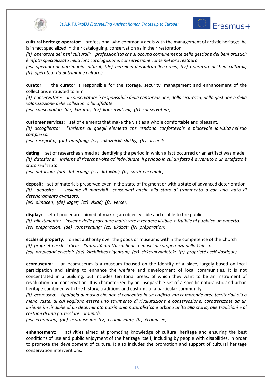



**cultural heritage operator:** professional who commonly deals with the management of artistic heritage: he is in fact specialized in their cataloguing, conservation as in their restoration

*(it) operatore dei beni culturali: professionista che si occupa comunemente della gestione dei beni artistici: è infatti specializzato nella loro catalogazione, conservazione come nel loro restauro* 

*(es) operador de patrimonio cultural; (de) betreiber des kulturellen erbes; (cz) operatore dei beni culturali; (fr) opérateur du patrimoine culturel;* 

**curator:** the curator is responsible for the storage, security, management and enhancement of the collections entrusted to him.

*(it) conservatore: il conservatore è responsabile della conservazione, della sicurezza, della gestione e della valorizzazione delle collezioni a lui affidate.* 

*(es) conservador; (de) kurator; (cz) konzervativní; (fr) conservateur;* 

**customer services:**  set of elements that make the visit as a whole comfortable and pleasant. *(it) accoglienza: l'insieme di quegli elementi che rendono confortevole e piacevole la visita nel suo complesso.* 

*(es) recepción; (de) empfang; (cz) zákaznické služby; (fr) accueil;* 

**dating:** set of researches aimed at identifying the period in which a fact occurred or an artifact was made. *(it) datazione: insieme di ricerche volte ad individuare il periodo in cui un fatto è avvenuto o un artefatto è stato realizzato.* 

*(es) datación; (de) datierung; (cz) datování; (fr) sortir ensemble;* 

**deposit:** set of materials preserved even in the state of fragment or with a state of advanced deterioration. *(it) deposito: insieme di materiali conservati anche alla stato di frammento o con uno stato di deterioramento avanzato.* 

*(es) almacén; (de) lager; (cz) vklad; (fr) verser;* 

display: set of procedures aimed at making an object visible and usable to the public. *(it) allestimento: insieme delle procedure indirizzate a rendere visibile e fruibile al pubblico un oggetto. (es) preparación; (de) vorbereitung; (cz) ukázat; (fr) préparation;* 

**ecclesial property:** direct authority over the goods or museums within the competence of the Church *(it) proprietà ecclesiatica: l'autorità diretta sui beni o musei di competenza della Chiesa. (es) propiedad eclesial; (de) kirchliches eigentum; (cz) církevní majetek; (fr) propriété ecclésiastique;* 

**ecomuseum:** an ecomuseum is a museum focused on the identity of a place, largely based on local participation and aiming to enhance the welfare and development of local communities. It is not concentrated in a building, but includes territorial areas, of which they want to be an instrument of revaluation and conservation. It is characterized by an inseparable set of a specific naturalistic and urban heritage combined with the history, traditions and customs of a particular community.

*(it) ecomuseo: tipologia di museo che non si concentra in un edificio, ma comprende aree territoriali più o meno vaste, di cui vogliono essere uno strumento di rivalutazione e conservazione, caratterizzate da un insieme inscindibile di un determinato patrimonio naturalistico e urbano unito alla storia, alle tradizioni e ai costumi di una particolare comunità.* 

*(es) ecomuseo; (de) ecomuseum; (cz) ecomuseum; (fr) écomusée;* 

**enhancement:** activities aimed at promoting knowledge of cultural heritage and ensuring the best conditions of use and public enjoyment of the heritage itself, including by people with disabilities, in order to promote the development of culture. It also includes the promotion and support of cultural heritage conservation interventions.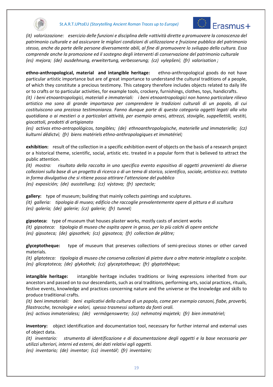



*(it) valorizzazione: esercizio delle funzioni e disciplina delle «attività dirette a promuovere la conoscenza del patrimonio culturale e ad assicurare le migliori condizioni di utilizzazione e fruizione pubblica del patrimonio stesso, anche da parte delle persone diversamente abili, al fine di promuovere lo sviluppo della cultura. Essa comprende anche la promozione ed il sostegno degli interventi di conservazione del patrimonio culturale (es) mejora; (de) ausdehnung, erweitertung, verbesserung; (cz) vylepšení; (fr) valorisation ;* 

**ethno‐anthropological, material and intangible heritage:**  ethno‐anthropological goods do not have particular artistic importance but are of great importance to understand the cultural traditions of a people, of which they constitute a precious testimony. This category therefore includes objects related to daily life or to crafts or to particular activities, for example tools, crockery, furnishings, clothes, toys, handicrafts.

*(it) i beni etnoantropologici, materiali e immateriali: i beni etnoantropologici non hanno particolare rilievo artistico ma sono di grande importanza per comprendere le tradizioni culturali di un popolo, di cui costituiscono una preziosa testimonianza. Fanno dunque parte di questa categoria oggetti legati alla vita quotidiana o ai mestieri o a particolari attività, per esempio arnesi, attrezzi, stoviglie, suppellettili, vestiti, giocattoli, prodotti di artigianato* 

*(es) activos etno‐antropológicos, tangibles; (de) ethnoanthropologische, materielle und immaterielle; (cz) kulturní dědictví; (fr) biens matériels ethno‐anthropologiques et immatériel;* 

**exhibition:** result of the collection in a specific exhibition event of objects on the basis of a research project or a historical theme, scientific, social, artistic etc. treated in a popular form that is believed to attract the public attention.

*(it) mostra: risultato della raccolta in uno specifico evento espositivo di oggetti provenienti da diverse collezioni sulla base di un progetto di ricerca o di un tema di storico, scientifico, sociale, artistico ecc. trattato in forma divulgativa che si ritiene possa attirare l'attenzione del pubblico (es) exposición; (de) ausstellung; (cz) výstava; (fr) spectacle;* 

**gallery:** type of museum; building that mainly collects paintings and sculptures. *(it) galleria: tipologia di museo; edificio che raccoglie prevalentemente opere di pittura e di scultura (es) galería; (de) galerie; (cz) galerie; (fr) tunnel;* 

**gipsoteca:**  type of museum that houses plaster works, mostly casts of ancient works *(it) gipsoteca: tipologia di museo che ospita opere in gesso, per lo più calchi di opere antiche (es) gipsoteca; (de) gipsothek; (cz) gipsoteca; (fr) collection de plâtre;* 

**glyceptotheque:** type of museum that preserves collections of semi‐precious stones or other carved materials.

*(it) gliptoteca: tipologia di museo che conserva collezioni di pietre dure o altre materie intagliate o scolpite. (es) gliceptoteca; (de) glykothek; (cz) glyceptotheque; (fr) glyptothèque;* 

**intangible heritage:** intangible heritage includes traditions or living expressions inherited from our ancestors and passed on to our descendants, such as oral traditions, performing arts, social practices, rituals, festive events, knowledge and practices concerning nature and the universe or the knowledge and skills to produce traditional crafts.

*(it) beni immateriali: beni esplicativi della cultura di un popolo, come per esempio canzoni, fiabe, proverbi, filastrocche, tecnologie e valori, spesso trasmessi soltanto da fonti orali.* 

*(es) activos inmaterialess; (de) vermögenswerte; (cz) nehmotný majetek; (fr) bien immatériel;* 

**inventory:** object identification and documentation tool, necessary for further internal and external uses of object data.

*(it) inventario: strumento di identificazione e di documentazione degli oggetti e la base necessaria per utilizzi ulteriori, interni ed esterni, dei dati relativi agli oggetti.* 

*(es) inventario; (de) inventar; (cz) inventář; (fr) inventaire;*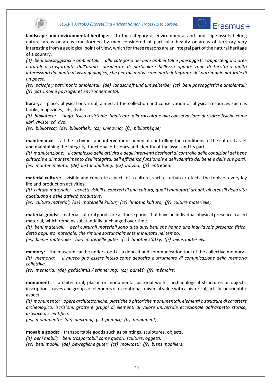



**landscape and environmental heritage:** to the category of environmental and landscape assets belong natural areas or areas transformed by man considered of particular beauty or areas of territory very interesting from a geological point of view, which for these reasons are an integral part of the natural heritage of a country.

*(it) beni paesaggistici e ambientali: alla categoria dei beni ambientali e paesaggistici appartengono aree naturali o trasformate dall'uomo considerate di particolare bellezza oppure zone di territorio molto interessanti dal punto di vista geologico, che per tali motivi sono parte integrante del patrimonio naturale di un paese.* 

*(es) paisaje y patrimonio ambiental; (de) landschaft und umwelterbe; (cz) beni paesaggistici e ambientali; (fr) patrimoine paysager et environnemental;* 

**library:** place, physical or virtual, aimed at the collection and conservation of physical resources such as books, magazines, cds, dvds.

*(it) biblioteca: luogo, fisico o virtuale, finalizzato alla raccolta e alla conservazione di risorse fisiche come libri, riviste, cd, dvd.* 

*(es) biblioteca; (de) bibliothek; (cz) knihovna; (fr) bibliothèque;* 

**maintenance:** all the activities and interventions aimed at controlling the conditions of the cultural asset and maintaining the integrity, functional efficiency and identity of the asset and its parts.

*(it) manutenzione: il complesso delle attività e degli interventi destinati al controllo delle condizioni del bene culturale e al mantenimento dell'integrità, dell'efficienza funzionale e dell'identità del bene e delle sue parti. (es) mantenimiento; (de) instandhaltung; (cz) údržba; (fr) entretien;* 

**material culture:** visible and concrete aspects of a culture, such as urban artefacts, the tools of everyday life and production activities.

*(it) cultura materiale: aspetti visibili e concreti di una cultura, quali i manufatti urbani, gli utensili della vita quotidiana e delle attività produttive.* 

*(es) cultura material; (de) materielle kultur; (cz) hmotná kultura; (fr) culture matérielle;* 

**material goods:** material cultural goods are all those goods that have an individual physical presence, called material, which remains substantially unchanged over time.

*(it) beni materiali: beni culturali materiali sono tutti quei beni che hanno una individuale presenza fisica, detta appunto materiale, che rimane sostanzialmente immutata nel tempo.* 

*(es) bienes materiales: (de) materielle güter: (cz) hmotné statky: (fr) biens matériels:* 

**memory:** the museum can be understood as a deposit and communication tool of the collective memory. *(it) memoria: il museo può essere inteso come deposito e strumento di comunicazione della memoria collettiva.* 

*(es) memoria; (de) gedächtnis / erinnerung; (cz) paměť; (fr) mémoire;* 

**monument:** architectural, plastic or monumental pictorial works, archaeological structures or objects, inscriptions, caves and groups of elements of exceptional universal value with a historical, artistic or scientific aspect.

*(it) monumento; opere architettoniche, plastiche o pittoriche monumentali, elementi o strutture di carattere archeologico, iscrizioni, grotte e gruppi di elementi di valore universale eccezionale dall'aspetto storico, artistico o scientifico.* 

*(es) monumento; (de) denkmal; (cz) pomník; (fr) monument;* 

**movable goods:** transportable goods such as paintings, sculptures, objects.

*(it) beni mobili; beni trasportabili come quadri, sculture, oggetti.* 

*(es) beni mobili; (de) bewegliche güter; (cz) movitosti; (fr) biens mobiliers;*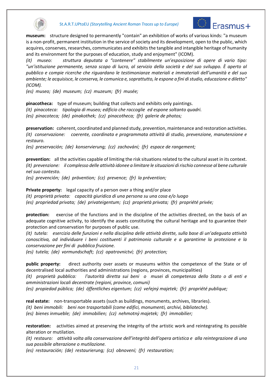



**museum:** structure designed to permanently "contain" an exhibition of works of various kinds: "a museum is a non‐profit, permanent institution in the service of society and its development, open to the public, which acquires, conserves, researches, communicates and exhibits the tangible and intangible heritage of humanity and its environment for the purposes of education, study and enjoyment" (ICOM).

*(it) museo: struttura deputata a "contenere" stabilmente un'esposizione di opere di vario tipo: "un'istituzione permanente, senza scopo di lucro, al servizio della società e del suo sviluppo. È aperto al pubblico e compie ricerche che riguardano le testimonianze materiali e immateriali dell'umanità e del suo ambiente; le acquisisce, le conserva, le comunica e, soprattutto, le espone a fini di studio, educazione e diletto" (ICOM).* 

*(es) museo; (de) museum; (cz) muzeum; (fr) musée;* 

**pinacotheca:** type of museum; building that collects and exhibits only paintings. *(it) pinacoteca: tipologia di museo; edificio che raccoglie ed espone soltanto quadri. (es) pinacoteca; (de) pinakothek; (cz) pinacotheca; (fr) galerie de photos;* 

**preservation:** coherent, coordinated and planned study, prevention, maintenance and restoration activities. *(it) conservazione: coerente, coordinata e programmata attività di studio, prevenzione, manutenzione e restauro.* 

*(es) preservación; (de) konservierung; (cz) zachování; (fr) espace de rangement;* 

**prevention:** all the activities capable of limiting the risk situations related to the cultural asset in its context. *(it) prevenzione: il complesso delle attività idonee a limitare le situazioni di rischio connesse al bene culturale nel suo contesto.* 

*(es) prevención; (de) prävention; (cz) prevence; (fr) la prévention;* 

**Private property:** legal capacity of a person over a thing and/or place

*(it) proprietà privata: capacità giuridica di una persona su una cosa e/o luogo* 

*(es) propriedad privata; (de) privateigentum; (cz) proprietà privata; (fr) propriété privée;* 

**protection:** exercise of the functions and in the discipline of the activities directed, on the basis of an adequate cognitive activity, to identify the assets constituting the cultural heritage and to guarantee their protection and conservation for purposes of public use.

*(it) tutela: esercizio delle funzioni e nella disciplina delle attività dirette, sulla base di un'adeguata attività conoscitiva, ad individuare i beni costituenti il patrimonio culturale e a garantirne la protezione e la conservazione per fini di pubblica fruizione.* 

*(es)* tutela; (de) vormundschaft; (cz) opatrovnictví; (fr) protection;

**public property:** direct authority over assets or museums within the competence of the State or of decentralised local authorities and administrations (regions, provinces, municipalities)

*(it) proprietà pubblica: l'autorità diretta sui beni o musei di competenza dello Stato o di enti e amministrazioni locali decentrate (regioni, province, comuni)* 

*(es) propiedad pública; (de) öffentliches eigentum; (cz) veřejný majetek; (fr) propriété publique;* 

real estate: non-transportable assets (such as buildings, monuments, archives, libraries). *(it) beni immobili: beni non trasportabili (come edifici, monumenti, archivi, biblioteche). (es) bienes inmueble; (de) immobilien; (cz) nehmotný majetek; (fr) immobilier;* 

**restoration:** activities aimed at preserving the integrity of the artistic work and reintegrating its possible alteration or mutilation.

*(it) restauro: attività volta alla conservazione dell'integrità dell'opera artistica e alla reintegrazione di una sua possibile alterazione o mutilazione.* 

*(es) restauración; (de) restaurierung; (cz) obnovení; (fr) restauration;*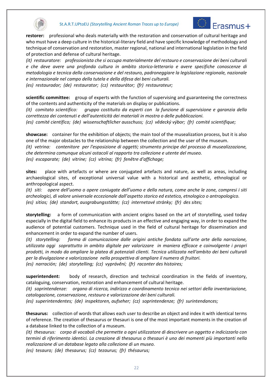



**restorer:** professional who deals materially with the restoration and conservation of cultural heritage and who must have a deep culture in the historical‐literary field and have specific knowledge of methodology and technique of conservation and restoration, master regional, national and international legislation in the field of protection and defense of cultural heritage.

*(it) restauratore: professionista che si occupa materialmente del restauro e conservazione dei beni culturali e che deve avere una profonda cultura in ambito storico‐letterario e avere specifiche conoscenze di metodologia e tecnica della conservazione e del restauro, padroneggiare la legislazione regionale, nazionale e internazionale nel campo della tutela e della difesa dei beni culturali.* 

*(es) restaurador; (de) restaurator; (cz) restaurátor; (fr) restaurateur;* 

**scientific committee:** group of experts with the function of supervising and guaranteeing the correctness of the contents and authenticity of the materials on display or publications.

*(it) comitato scientifico: gruppo costituito da esperti con la funzione di supervisione e garanzia della correttezza dei contenuti e dell'autenticità dei materiali in mostra o delle pubblicazioni.* 

*(es) comité científico; (de) wissenschaftlicher ausschuss; (cz) vědecký výbor; (fr) comité scientifique;* 

**showcase:** container for the exhibition of objects; the main tool of the musealization process, but it is also one of the major obstacles to the relationship between the collection and the user of the museum.

*(it) vetrina: contenitore per l'esposizione di oggetti; strumento principe del processo di musealizzazione, che determina comunque alcuni ostacoli al rapporto tra collezione e utente del museo.* 

*(es) escaparate; (de) vitrine; (cz) vitrína; (fr) fenêtre d'affichage;* 

**sites:** place with artefacts or where are conjugated artefacts and nature, as well as areas, including archaeological sites, of exceptional universal value with a historical and aesthetic, ethnological or anthropological aspect.

*(it) siti: opere dell'uomo o opere coniugate dell'uomo e della natura, come anche le zone, compresi i siti archeologici, di valore universale eccezionale dall'aspetto storico ed estetico, etnologico o antropologico. (es) sitios; (de) standort, ausgrabungsstätte; (cz) internetové stránky; (fr) des sites;* 

**storytelling:** a form of communication with ancient origins based on the art of storytelling, used today especially in the digital field to enhance its products in an effective and engaging way, in order to expand the audience of potential customers. Technique used in the field of cultural heritage for dissemination and enhancement in order to expand the number of users.

*(it) storytelling: forma di comunicazione dalle origini antiche fondata sull'arte arte della narrazione, utilizzata oggi soprattutto in ambito digitale per valorizzare in maniera efficace e coinvolgente i propri prodotti, in modo da ampliare la platea di potenziali clienti. Tecnica utilizzata nell'ambito dei beni culturali per la divulgazione e valorizzazione nella prospettiva di ampliare il numero di fruitori. (es) narración; (de) storytelling; (cz) vyprávění; (fr) raconter des histoires;* 

**superintendent:** body of research, direction and technical coordination in the fields of inventory, cataloguing, conservation, restoration and enhancement of cultural heritage.

*(it) soprintendenze: organo di ricerca, indirizzo e coordinamento tecnico nei settori della inventariazione, catalogazione, conservazione, restauro e valorizzazione dei beni culturali.* 

*(es) superintendentes; (de) inspektoren, aufseher; (cz) soprintendenze; (fr) surintendances;* 

**thesaurus:** collection of words that allows each user to describe an object and index it with identical terms of reference. The creation of thesaurus or thesauri is one of the most important moments in the creation of a database linked to the collection of a museum.

*(it) thesaurus: corpo di vocaboli che permette a ogni utilizzatore di descrivere un oggetto e indicizzarlo con termini di riferimento identici. La creazione di thesaurus o thesauri è uno dei momenti più importanti nella realizzazione di un database legato alla collezione di un museo.* 

*(es) tesauro; (de) thesaurus; (cz) tezaurus; (fr) thésaurus;*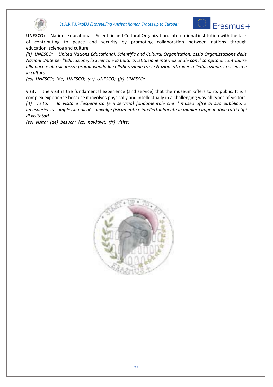



**UNESCO:** Nations Educationals, Scientific and Cultural Organization. International institution with the task of contributing to peace and security by promoting collaboration between nations through education, science and culture

*(it) UNESCO: United Nations Educational, Scientific and Cultural Organization, ossia Organizzazione delle Nazioni Unite per l'Educazione, la Scienza e la Cultura. Istituzione internazionale con il compito di contribuire alla pace e alla sicurezza promuovendo la collaborazione tra le Nazioni attraverso l'educazione, la scienza e la cultura* 

*(es) UNESCO; (de) UNESCO; (cz) UNESCO; (fr) UNESCO;* 

visit: the visit is the fundamental experience (and service) that the museum offers to its public. It is a complex experience because it involves physically and intellectually in a challenging way all types of visitors. *(it) visita: la visita è l'esperienza (e il servizio) fondamentale che il museo offre al suo pubblico. È un'esperienza complessa poiché coinvolge fisicamente e intellettualmente in maniera impegnativa tutti i tipi di visitatori.* 

*(es) visita; (de) besuch; (cz) navštívit; (fr) visite;* 

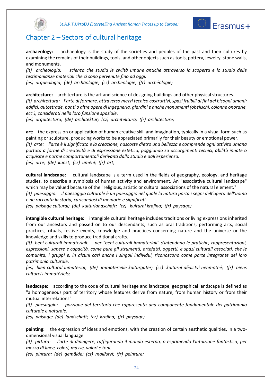



## Chapter 2 – Sectors of cultural heritage

archaeology: archaeology is the study of the societies and peoples of the past and their cultures by examining the remains of their buildings, tools, and other objects such as tools, pottery, jewelry, stone walls, and monuments.

*(it) archeologia: scienza che studia le civiltà umane antiche attraverso la scoperta e lo studio delle testimonianze materiali che ci sono pervenute fino ad oggi.* 

*(es) arqueologia; (de) archäologie; (cz) archeologie; (fr) archéologie;* 

**architecture:** architecture is the art and science of designing buildings and other physical structures. *(it) architettura: l'arte di formare, attraverso mezzi tecnico costruttivi, spazî fruibili ai fini dei bisogni umani: edifici, autostrade, ponti o altre opere di ingegneria, giardini e anche monumenti (obelischi, colonne onorarie, ecc.), considerati nella loro funzione spaziale.* 

*(es) arquitectura; (de) architektur; (cz) architektura; (fr) architecture;* 

art: the expression or application of human creative skill and imagination, typically in a visual form such as painting or sculpture, producing works to be appreciated primarily for their beauty or emotional power. *(it) arte: l'arte è il significato e la creazione, nascoste dietro una bellezza e comprende ogni attività umana portata a forme di creatività e di espressione estetica, poggiando su accorgimenti tecnici, abilità innate o acquisite e norme comportamentali derivanti dallo studio e dall'esperienza. (es) arte; (de) kunst; (cz) umění; (fr) art;* 

**cultural landscape:** cultural landscape is a term used in the fields of geography, ecology, and heritage studies, to describe a symbiosis of human activity and environment. An "associative cultural landscape" which may be valued because of the "religious, artistic or cultural associations of the natural element." *(it) paesaggio: il paesaggio culturale è un paesaggio nel quale la natura porta i segni dell'opera dell'uomo e ne racconta la storia, caricandosi di memorie e significati.* 

*(es) paisage cultural; (de) kulturlandschaft; (cz) kulturní krajina; (fr) paysage;* 

**intangible cultural heritage:** intangible cultural heritage includes traditions or living expressions inherited from our ancestors and passed on to our descendants, such as oral traditions, performing arts, social practices, rituals, festive events, knowledge and practices concerning nature and the universe or the knowledge and skills to produce traditional crafts.

*(it) beni culturali immateriali: per "beni culturali immateriali" s'intendono le pratiche, rappresentazioni, espressioni, sapere e capacità, come pure gli strumenti, artefatti, oggetti, e spazi culturali associati, che le comunità, i gruppi e, in alcuni casi anche i singoli individui, riconoscono come parte integrante del loro patrimonio culturale.* 

*(es) bien cultural inmaterial; (de) immaterielle kulturgüter; (cz) kulturní dědictví nehmotné; (fr) biens culturels immatériels;* 

**landscape:** according to the code of cultural heritage and landscape, geographical landscape is defined as "a homogeneous part of territory whose features derive from nature, from human history or from their mutual interrelations".

*(it) paesaggio: porzione del territorio che rappresenta una componente fondamentale del patrimonio culturale e naturale.* 

*(es) paisage; (de) landschaft; (cz) krajina; (fr) paysage;* 

**painting:** the expression of ideas and emotions, with the creation of certain aesthetic qualities, in a twodimensional visual language

*(it) pittura: l'arte di dipingere, raffigurando il mondo esterno, o esprimendo l'intuizione fantastica, per mezzo di linee, colori, masse, valori e toni.* 

*(es) pintura; (de) gemälde; (cz) malířství; (fr) peinture;*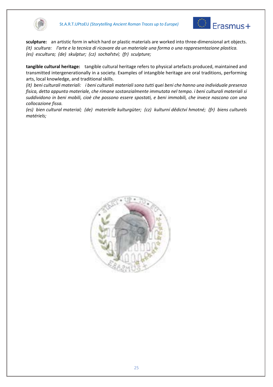



sculpture: an artistic form in which hard or plastic materials are worked into three-dimensional art objects. *(it) scultura: l'arte e la tecnica di ricavare da un materiale una forma o una rappresentazione plastica. (es) escultura; (de) skulptur; (cz) sochařství; (fr) sculpture;* 

**tangible cultural heritage:** tangible cultural heritage refers to physical artefacts produced, maintained and transmitted intergenerationally in a society. Examples of intangible heritage are oral traditions, performing arts, local knowledge, and traditional skills.

*(it) beni culturali materiali: i beni culturali materiali sono tutti quei beni che hanno una individuale presenza fisica, detta appunto materiale, che rimane sostanzialmente immutata nel tempo. i beni culturali materiali si suddividono in beni mobili, cioè che possono essere spostati, e beni immobili, che invece nascono con una collocazione fissa.* 

*(es) bien cultural material; (de) materielle kulturgüter; (cz) kulturní dědictví hmotné; (fr) biens culturels matériels;* 

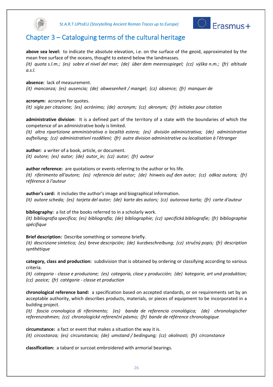



## Chapter 3 – Cataloguing terms of the cultural heritage

**above sea level:**  to indicate the absolute elevation, i.e. on the surface of the geoid, approximated by the mean free surface of the oceans, thought to extend below the landmasses. *(it) quota s.l.m.; (es) sobre el nivel del mar; (de) über dem meeresspiegel; (cz) výška n.m.; (fr) altitude a.s.l.* 

## **absence:** lack of measurement.

*(it) mancanza; (es) ausencia; (de) abwesenheit / mangel; (cz) absence; (fr) manquer de* 

## **acronym:** acronym for quotes.

*(it) sigla per citazione; (es) acrónimo; (de) acronym; (cz) akronym; (fr) initiales pour citation* 

administrative division: It is a defined part of the territory of a state with the boundaries of which the competence of an administrative body is limited.

*(it) altra ripartizione amministrativa o località estera; (es) división administrativa; (de) administrative aufteilung; (cz) administrativní rozdělení; (fr) autre division administrative ou localisation à l'étranger* 

**author:** a writer of a book, article, or document. *(it) autore; (es) autor; (de) autor\_in; (cz) autor; (fr) auteur* 

**author reference:** are quotations or events referring to the author or his life. *(it) riferimento all'autore; (es) referencia del autor; (de) hinweis auf den autor; (cz) odkaz autora; (fr) référence à l'auteur* 

**author's card:** it includes the author's image and biographical information. *(it) autore scheda; (es) tarjeta del autor; (de) karte des autors; (cz) autorova karta; (fr) carte d'auteur* 

**bibliography:** a list of the books referred to in a scholarly work.

*(it) bibliografia specifica; (es) bibliografía; (de) bibliographie; (cz) specifická bibliografie; (fr) bibliographie spécifique* 

**Brief description:** Describe something or someone briefly.

*(it) descrizione sintetica; (es) breve descripción; (de) kurzbeschreibung; (cz) stručný popis; (fr) description synthétique* 

**category, class and production:** subdivision that is obtained by ordering or classifying according to various criteria.

*(it) categoria ‐ classe e produzione; (es) categoría, clase y producción; (de) kategorie, art und produktion; (cz) pozice; (fr) catégorie ‐ classe et production* 

**chronological reference band:** a specification based on accepted standards, or on requirements set by an acceptable authority, which describes products, materials, or pieces of equipment to be incorporated in a building project.

*(it) fascia cronologica di riferimento; (es) banda de referencia cronológica; (de) chronologischer referenzrahmen; (cz) chronologické referenční pásmo; (fr) bande de référence chronologique* 

**circumstance:** a fact or event that makes a situation the way it is. *(it) circostanza; (es) circunstancia; (de) umstand / bedingung; (cz) okolnosti; (fr) circonstance* 

**classification:** a tabard or surcoat embroidered with armorial bearings.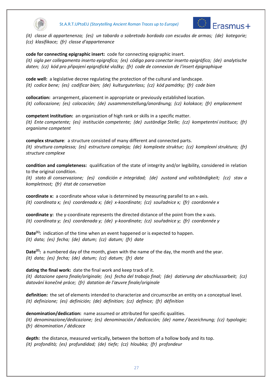



*(it) classe di appartenenza; (es) un tabardo o sobretodo bordado con escudos de armas; (de) kategorie; (cz) klasifikace; (fr) classe d'appartenance* 

code for connecting epigraphic insert: code for connecting epigraphic insert. *(it) sigla per collegamento inserto epigrafico; (es) código para conectar inserto epigráfico; (de) analytische daten; (cz) kód pro připojení epigrafické vložky; (fr) code de connexion de l'insert épigraphique* 

**code well:** a legislative decree regulating the protection of the cultural and landscape. *(it) codice bene; (es) codificar bien; (de) kulturguterlass; (cz) kód památky; (fr) code bien* 

**collocation:** arrangement, placement in appropriate or previously established location. *(it) collocazione; (es) colocación; (de) zusammenstellung/anordnung; (cz) kolokace; (fr) emplacement* 

**competent institution:** an organization of high rank or skills in a specific matter. *(it) Ente competente; (es) institución competente; (de) zuständige Stelle; (cz) kompetentní instituce; (fr) organisme competent* 

**complex structure**: a structure consisted of many different and connected parts. *(it) struttura complessa; (es) estructura compleja; (de) komplexte struktur; (cz) komplexní struktura; (fr) structure complexe* 

**condition and completeness:** qualification of the state of integrity and/or legibility, considered in relation to the original condition.

*(it) stato di conservazione; (es) condición e integridad; (de) zustand und vollständigkeit; (cz) stav a kompletnost; (fr) état de conservation* 

**coordinate x:** a coordinate whose value is determined by measuring parallel to an x‐axis. *(it) coordinata x; (es) coordenada x; (de) x‐koordinate; (cz) souřadnice x; (fr) coordonnée x* 

**coordinate y:** the y-coordinate represents the directed distance of the point from the x-axis. *(it) coordinata y; (es) coordenada y; (de) y‐koordinate; (cz) souřadnice y; (fr) coordonnée y* 

Date<sup>(1)</sup>: indication of the time when an event happened or is expected to happen. *(it) data; (es) fecha; (de) datum; (cz) datum; (fr) date* 

**Date<sup>(2)</sup>:** a numbered day of the month, given with the name of the day, the month and the year. *(it) data; (es) fecha; (de) datum; (cz) datum; (fr) date* 

**dating the final work:** date the final work and keep track of it.

*(it) datazione opera finale/originale; (es) fecha del trabajo final; (de) datierung der abschlussarbeit; (cz) datování konečné práce; (fr) datation de l'œuvre finale/originale* 

**definition:** the set of elements intended to characterize and circumscribe an entity on a conceptual level. *(it) definizione; (es) definición; (de) definition; (cz) definice; (fr) définition* 

**denomination/dedication:** name assumed or attributed for specific qualities. *(it) denominazione/dedicazione; (es) denominación / dedicación; (de) name / bezeichnung; (cz) typologie; (fr) dénomination / dédicace* 

**depth:** the distance, measured vertically, between the bottom of a hollow body and its top. *(it) profondità; (es) profundidad; (de) tiefe; (cz) hloubka; (fr) profondeur*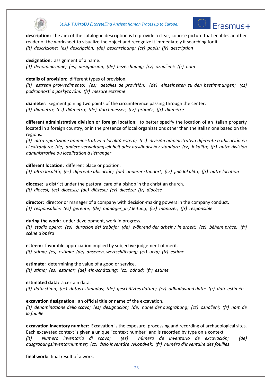



**description:** the aim of the catalogue description is to provide a clear, concise picture that enables another reader of the worksheet to visualize the object and recognize it immediately if searching for it. *(it) descrizione; (es) descripción; (de) beschreibung; (cz) popis; (fr) description* 

#### **designation:** assignment of a name.

*(it) denominazione; (es) designacion; (de) bezeichnung; (cz) označení; (fr) nom* 

## **details of provision:** different types of provision.

*(it) estremi provvedimento; (es) detalles de provisión; (de) einzelheiten zu den bestimmungen; (cz) podrobnosti o poskytování; (fr) mesure extreme* 

diameter: segment joining two points of the circumference passing through the center. *(it) diametro; (es) diámetro; (de) durchmesser; (cz) průměr; (fr) diamètre* 

**different administrative division or foreign location:** to better specify the location of an Italian property located in a foreign country, or in the presence of local organizations other than the Italian one based on the regions.

*(it) altra ripartizione amministrativa o località estera; (es) división administrativa diferente o ubicación en el extranjero; (de) andere verwaltungseinheit oder ausländischer standort; (cz) lokalita; (fr) autre division administrative ou localisation à l'étranger* 

#### **different location:** different place or position.

*(it) altra località; (es) diferente ubicación; (de) anderer standort; (cz) jiná lokalita; (fr) autre location* 

**diocese:** a district under the pastoral care of a bishop in the christian church. *(it) diocesi; (es) diócesis; (de) diözese; (cz) diecéze; (fr) diocèse* 

director: director or manager of a company with decision-making powers in the company conduct. *(it) responsabile; (es) gerente; (de) manager\_in / leitung; (cz) manažér; (fr) responsible* 

**during the work:** under development, work in progress.

*(it) stadio opera; (es) duración del trabajo; (de) während der arbeit / in arbeit; (cz) během práce; (fr) scène d'opéra* 

**esteem:** favorable appreciation implied by subjective judgement of merit. *(it) stima; (es) estima; (de) ansehen, wertschätzung; (cz) úcta; (fr) estime* 

**estimate:** determining the value of a good or service. *(it) stima; (es) estimar; (de) ein‐schätzung; (cz) odhad; (fr) estime* 

#### **estimated data:** a certain data.

*(it) data stima; (es) datos estimados; (de) geschätztes datum; (cz) odhadovaná data; (fr) date estimée* 

**excavation designation:** an official title or name of the excavation. *(it) denominazione dello scavo; (es) designacion; (de) name der ausgrabung; (cz) označení; (fr) nom de la fouille* 

**excavation inventory number:** Excavation is the exposure, processing and recording of archaeological sites. Each excavated context is given a unique "context number" and is recorded by type on a context. *(it) Numero inventario di scavo; (es) número de inventario de excavación; (de) ausgrabungsinventarnummer; (cz) číslo inventáře vykopávek; (fr) numéro d'inventaire des fouilles* 

**final work:** final result of a work.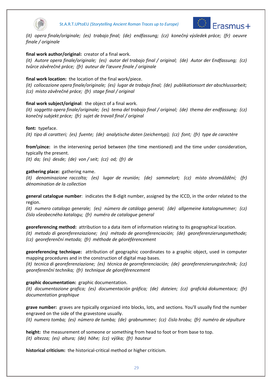



*(it) opera finale/originale; (es) trabajo final; (de) endfassung; (cz) konečný výsledek práce; (fr) oeuvre finale / originale* 

## final work author/original: creator of a final work.

*(it) Autore opera finale/originale; (es) autor del trabajo final / original; (de) Autor der Endfassung; (cz) tvůrce závěrečné práce; (fr) auteur de l'œuvre finale / originale* 

## **final work location:** the location of the final work/piece.

*(it) collocazione opera finale/originale; (es) lugar de trabajo final; (de) publikationsort der abschlussarbeit; (cz) místo závěrečné práce; (fr) stage final / original* 

## **final work subject/original**: the object of a final work.

*(it) soggetto opera finale/originale; (es) tema del trabajo final / original; (de) thema der endfassung; (cz) konečný subjekt práce; (fr) sujet de travail final / original*

#### **font:** typeface.

*(it) tipo di caratteri; (es) fuente; (de) analytische daten (zeichentyp); (cz) font; (fr) type de caractère* 

**from\since:** in the intervening period between (the time mentioned) and the time under consideration, typically the present.

*(it) da; (es) desde; (de) von / seit; (cz) od; (fr) de*

#### **gathering place:** gathering name.

*(it) denominazione raccolta; (es) lugar de reunión; (de) sammelort; (cz) místo shromáždění; (fr) dénomination de la collection* 

**general catalogue number**: indicates the 8‐digit number, assigned by the ICCD, in the order related to the region.

*(it) numero catalogo generale; (es) número de catálogo general; (de) allgemeine katalognummer; (cz) číslo všeobecného katalogu; (fr) numéro de catalogue general* 

**georeferencing method:** attribution to a data item of information relating to its geographical location.

*(it) metodo di georeferenziazione; (es) método de georreferenciación; (de) georeferenzierungsmethode; (cz) georeferenční metoda; (fr) méthode de géoréférencement* 

**georeferencing technique:** attribution of geographic coordinates to a graphic object, used in computer mapping procedures and in the construction of digital map bases.

*(it) tecnica di georeferenziazione; (es) técnica de georreferenciación; (de) georeferenzierungstechnik; (cz) georeferenční technika; (fr) technique de géoréférencement* 

#### **graphic documentation:** graphic documentation.

*(it) documentazione grafica; (es) documentación gráfica; (de) dateien; (cz) grafická dokumentace; (fr) documentation graphique* 

**grave number:** graves are typically organized into blocks, lots, and sections. You'll usually find the number engraved on the side of the gravestone usually.

*(it) numero tomba; (es) número de tumba; (de) grabnummer; (cz) čislo hrobu; (fr) numéro de sépulture* 

**height:** the measurement of someone or something from head to foot or from base to top. *(it) altezza; (es) altura; (de) höhe; (cz) výška; (fr) hauteur* 

**historical criticism:** the historical‐critical method or higher criticism.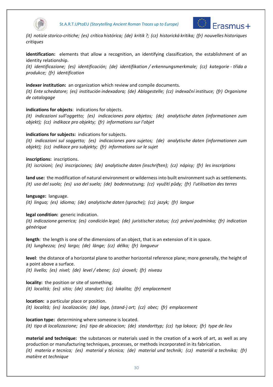



*(it) notizie storico‐critiche; (es) crítica histórica; (de) kritik ?; (cz) historická kritika; (fr) nouvelles historiques critiques* 

**identification:** elements that allow a recognition, an identifying classification, the establishment of an identity relationship.

*(it) identificazione; (es) identificación; (de) identifikation / erkennungsmerkmale; (cz) kategorie ‐ třída a produkce; (fr) identification* 

**indexer institution:** an organization which review and compile documents.

*(it) Ente schedatore; (es) institución indexadora; (de) Ablagestelle; (cz) indexační instituce; (fr) Organisme de catalogage* 

## **indications for objects**: indications for objects.

*(it) indicazioni sull'oggetto; (es) indicaciones para objetos; (de) analytische daten (informationen zum objekt); (cz) indikace pro objekty; (fr) informations sur l'objet* 

## **indications for subjects:** indications for subjects.

*(it) indicazioni sul soggetto; (es) indicaciones para sujetos; (de) analytische daten (informationen zum objekt); (cz) indikace pro subjekty; (fr) informations sur le sujet* 

**inscriptions:** inscriptions.

*(it) iscrizioni; (es) inscripciones; (de) analytische daten (inschriften); (cz) nápisy; (fr) les inscriptions* 

**land use:** the modification of natural environment or wilderness into built environment such as settlements. *(it) uso del suolo; (es) uso del suelo; (de) bodennutzung; (cz) využití půdy; (fr) l'utilisation des terres* 

#### **language:** language.

*(it) lingua; (es) idioma; (de) analytische daten (sprache); (cz) jazyk; (fr) langue* 

## **legal condition:** generic indication.

*(it) indicazione generica; (es) condición legal; (de) juristischer status; (cz) právní podmínka; (fr) indication générique* 

**length**: the length is one of the dimensions of an object, that is an extension of it in space. *(it) lunghezza; (es) largo; (de) länge; (cz) délka; (fr) longueur* 

**level**: the distance of a horizontal plane to another horizontal reference plane; more generally, the height of a point above a surface.

*(it) livello; (es) nivel; (de) level / ebene; (cz) úroveň; (fr) niveau* 

**locality:** the position or site of something. *(it) località; (es) sitio; (de) standort; (cz) lokalita; (fr) emplacement* 

**location:** a particular place or position. *(it) località; (es) localización; (de) lage, (stand‐) ort; (cz) obec; (fr) emplacement* 

**location type:** determining where someone is located. *(it) tipo di localizzazione; (es) tipo de ubicacion; (de) standorttyp; (cz) typ lokace; (fr) type de lieu* 

**material and technique:** the substances or materials used in the creation of a work of art, as well as any production or manufacturing techniques, processes, or methods incorporated in its fabrication. *(it) materia e tecnica; (es) material y técnica; (de) material und technik; (cz) materiál a technika; (fr) matière et technique*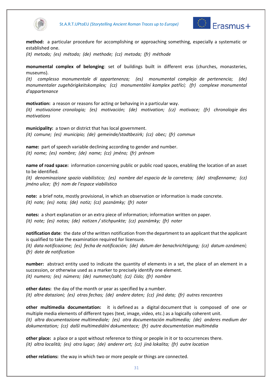



**method:** a particular procedure for accomplishing or approaching something, especially a systematic or established one.

*(it) metodo; (es) método; (de) methode; (cz) metoda; (fr) méthode* 

**monumental complex of belonging**: set of buildings built in different eras (churches, monasteries, museums).

*(it) complesso monumentale di appartenenza; (es) monumental complejo de pertenencia; (de) monumentaler zugehörigkeitskomplex; (cz) monumentální komplex patřící; (fr) complexe monumental d'appartenance* 

**motivation:** a reason or reasons for acting or behaving in a particular way.

*(it) motivazione cronologia; (es) motivación; (de) motivation; (cz) motivace; (fr) chronologie des motivations* 

**municipality:** a town or district that has local government. *(it) comune; (es) municipio; (de) gemeinde/stadtbezirk; (cz) obec; (fr) commun* 

**name:** part of speech variable declining according to gender and number. *(it) nome; (es) nombre; (de) name; (cz) jméno; (fr) prénom* 

**name of road space:** information concerning public or public road spaces, enabling the location of an asset to be identified.

*(it) denominazione spazio viabilistico; (es) nombre del espacio de la carretera; (de) straßenname; (cz) jméno ulice; (fr) nom de l'espace viabilistico* 

**note:** a brief note, mostly provisional, in which an observation or information is made concrete. *(it) note; (es) nota; (de) notiz; (cz) poznámky; (fr) noter* 

**notes:** a short explanation or an extra piece of information; information written on paper. *(it) note; (es) notas; (de) notizen / stichpunkte; (cz) poznámky; (fr) noter* 

**notification date**: the date of the written notification from the department to an applicant that the applicant is qualified to take the examination required for licensure.

*(it) data notificazione; (es) fecha de notificación; (de) datum der benachrichtigung; (cz) datum oznámení; (fr) date de notification* 

**number:** abstract entity used to indicate the quantity of elements in a set, the place of an element in a succession, or otherwise used as a marker to precisely identify one element. *(it) numero; (es) número; (de) nummer/zahl; (cz) číslo; (fr) nombre* 

**other dates:** the day of the month or year as specified by a number. *(it) altre datazioni; (es) otras fechas; (de) andere daten; (cz) jiná data; (fr) autres rencontres* 

**other multimedia documentation:** it is defined as a digital document that is composed of one or multiple media elements of different types (text, image, video, etc.) as a logically coherent unit. *(it) altra documentazione multimediale; (es) otra documentación multimedia; (de) anderes medium der dokumentation; (cz) další multimediální dokumentace; (fr) autre documentation multimédia* 

**other place:** a place or a spot without reference to thing or people in it or to occurrences there. *(it) altra località; (es) otro lugar; (de) anderer ort; (cz) jiná lokalita; (fr) autre location* 

**other relations:** the way in which two or more people or things are connected.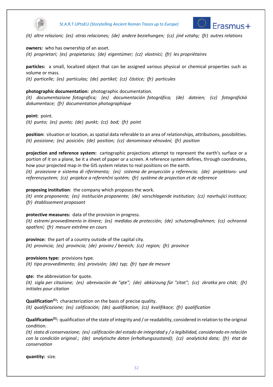



*(it) altre relazioni; (es) otras relaciones; (de) andere beziehungen; (cz) jiné vztahy; (fr) autres relations* 

**owners:** who has ownership of an asset. *(it) proprietari; (es) propietarios; (de) eigentümer; (cz) vlastníci; (fr) les propriétaires* 

**particles:** a small, localized object that can be assigned various physical or chemical properties such as volume or mass.

*(it) particelle; (es) partículas; (de) partikel; (cz) částice; (fr) particules* 

## **photographic documentation:** photographic documentation.

*(it) documentazione fotografica; (es) documentación fotográfica; (de) dateien; (cz) fotografická dokumentace; (fr) documentation photographique* 

#### **point:** point.

*(it) punto; (es) punto; (de) punkt; (cz) bod; (fr) point* 

**position:** situation or location, as spatial data referable to an area of relationships, attributions, possibilities. *(it) posizione; (es) posición; (de) position; (cz) denominace věnování; (fr) position* 

**projection and reference system:** cartographic projections attempt to represent the earth's surface or a portion of it on a plane, be it a sheet of paper or a screen. A reference system defines, through coordinates, how your projected map in the GIS system relates to real positions on the earth.

*(it) proiezione e sistema di riferimento; (es) sistema de proyección y referencia; (de) projektions‐ und referenzsystem; (cz) projekce a referenční systém; (fr) système de projection et de reference* 

#### **proposing institution**: the company which proposes the work.

*(it) ente proponente; (es) institución proponente; (de) vorschlagende institution; (cz) navrhující instituce; (fr) établissement proposant* 

**protective measures:** data of the provision in progress.

*(it) estremi provvedimento in itinere; (es) medidas de protección; (de) schutzmaßnahmen; (cz) ochranná opatření; (fr) mesure extrême en cours* 

**province:** the part of a country outside of the capital city.

*(it) provincia; (es) provincia; (de) provinz / bereich; (cz) region; (fr) province* 

#### **provisions type:** provisions type.

*(it) tipo provvedimento; (es) provisión; (de) typ; (fr) type de mesure* 

#### **qte:** the abbreviation for quote.

*(it) sigla per citazione; (es) abreviación de "qte"; (de) abkürzung für "zitat"; (cz) zkratka pro citát; (fr) initiales pour citation* 

#### Qualification<sup>(1)</sup>: characterization on the basis of precise quality.

*(it) qualificazione; (es) calificación; (de) qualifikation; (cz) kvalifikace; (fr) qualification* 

**Qualification<sup>(2)</sup>:** qualification of the state of integrity and / or readability, considered in relation to the original condition.

*(it) stato di conservazione; (es) calificación del estado de integridad y / o legibilidad, considerado en relación con la condición original.; (de) analytische daten (erhaltungszustand); (cz) analytická data; (fr) état de conservation* 

**quantity:** size.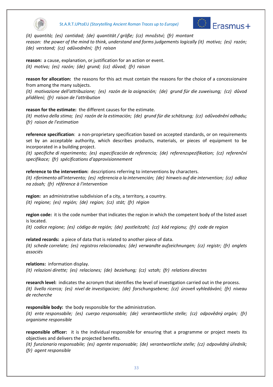



*(it) quantità; (es) cantidad; (de) quantität / größe; (cz) množství; (fr) montant reason: the power of the mind to think, understand and forms judgements logically (it) motivo; (es) razón; (de) verstand; (cz) odůvodnění; (fr) raison* 

**reason:** a cause, explanation, or justification for an action or event. *(it) motivo; (es) razón; (de) grund; (cz) důvod; (fr) raison* 

**reason for allocation:** the reasons for this act must contain the reasons for the choice of a concessionaire from among the many subjects.

*(it) motivazione dell'attribuzione; (es) razón de la asignación; (de) grund für die zuweisung; (cz) důvod přidělení; (fr) raison de l'attribution* 

**reason for the estimate:** the different causes for the estimate.

*(it) motivo della stima; (es) razón de la estimación; (de) grund für die schätzung; (cz) odůvodnění odhadu; (fr) raison de l'estimation* 

**reference specification**: a non‐proprietary specification based on accepted standards, or on requirements set by an acceptable authority, which describes products, materials, or pieces of equipment to be incorporated in a building project.

*(it) specifiche di reperimento; (es) especificación de referencia; (de) referenzspezifikation; (cz) referenční specifikace; (fr) spécifications d'approvisionnement* 

**reference to the intervention:** descriptions referring to interventions by characters.

*(it) riferimento all'intervento; (es) referencia a la intervención; (de) hinweis auf die intervention; (cz) odkaz na zásah; (fr) référence à l'intervention* 

**region:** an administrative subdivision of a city, a territory, a country. *(it) regione; (es) región; (de) region; (cz) stát; (fr) région* 

**region code:** it is the code number that indicates the region in which the competent body of the listed asset is located.

*(it) codice regione; (es) código de región; (de) postleitzahl; (cz) kód regionu; (fr) code de region* 

**related records:** a piece of data that is related to another piece of data.

*(it) schede correlate; (es) registros relacionados; (de) verwandte aufzeichnungen; (cz) registr; (fr) onglets associés* 

**relations:** information display.

*(it) relazioni dirette; (es) relaciones; (de) beziehung; (cz) vztah; (fr) relations directes* 

**research level:** indicates the acronym that identifies the level of investigation carried out in the process. *(it) livello ricerca; (es) nivel de investigacion; (de) forschungsebene; (cz) úroveň vyhledávání; (fr) niveau de recherche* 

**responsible body:** the body responsible for the administration.

*(it) ente responsabile; (es) cuerpo responsable; (de) verantwortliche stelle; (cz) odpovědný orgán; (fr) organisme responsible* 

**responsible officer:** it is the individual responsible for ensuring that a programme or project meets its objectives and delivers the projected benefits.

*(it) funzionario responsabile; (es) agente responsable; (de) verantwortliche stelle; (cz) odpovědný úředník; (fr) agent responsible*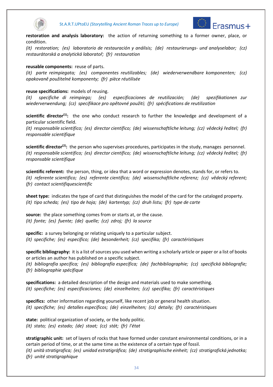



**restoration and analysis laboratory:** the action of returning something to a former owner, place, or condition.

*(it) restoration; (es) laboratorio de restauración y análisis; (de) restaurierungs‐ und analyselabor; (cz) restaurátorská a analytická laboratoř; (fr) restauration* 

#### **reusable components:** reuse of parts.

*(it) parte reimpiegata; (es) componentes reutilizables; (de) wiederverwendbare komponenten; (cz) opakovaně použitelné komponenty; (fr) pièce réutilisée* 

## **reuse specifications:** models of reusing.

*(it) specifiche di reimpiego; (es) especificaciones de reutilización; (de) spezifikationen zur wiederverwendung; (cz) specifikace pro opětovné použití; (fr) spécifications de reutilization* 

scientific director<sup>(1)</sup>: the one who conduct research to further the knowledge and development of a particular scientific field.

*(it) responsabile scientifico; (es) director científico; (de) wissenschaftliche leitung; (cz) vědecký ředitel; (fr) responsable scientifique* 

**scientific director<sup>(2)</sup>:** the person who supervises procedures, participates in the study, manages personnel. *(it) responsabile scientifico; (es) director científico; (de) wissenschaftliche leitung; (cz) vědecký ředitel; (fr) responsable scientifique* 

**scientific referent:** the person, thing, or idea that a word or expression denotes, stands for, or refers to. *(it) referente scientifico; (es) referente científico; (de) wissenschaftliche referenz; (cz) vědecký referent; (fr) contact scientifiquescientific* 

**sheet type:** indicates the type of card that distinguishes the model of the card for the cataloged property. *(it) tipo scheda; (es) tipo de hoja; (de) kartentyp; (cz) druh listu; (fr) type de carte* 

**source:** the place something comes from or starts at, or the cause. *(it) fonte; (es) fuente; (de) quelle; (cz) zdroj; (fr) la source* 

**specific:** a survey belonging or relating uniquely to a particular subject. *(it) specifiche; (es) específico; (de) besonderheit; (cz) specifika; (fr) caractéristiques* 

**specific bibliography:** it is a list of sources you used when writing a scholarly article or paper or a list of books or articles an author has published on a specific subject.

*(it) bibliografia specifica; (es) bibliografía específica; (de) fachbibliographie; (cz) specifická bibliografie; (fr) bibliographie spécifique* 

**specifications:** a detailed description of the design and materials used to make something. *(it) specifiche; (es) especificaciones; (de) einzelheiten; (cz) specifika; (fr) caractéristiques* 

**specifics:** other information regarding yourself, like recent job or general health situation. *(it) specifiche; (es) detalles específicos; (de) einzelheiten; (cz) detaily; (fr) caractéristiques* 

**state:** political organization of society, or the body politic. *(it) stato; (es) estado; (de) staat; (cz) stát; (fr) l'état* 

**stratigraphic unit:** set of layers of rocks that have formed under constant environmental conditions, or in a certain period of time, or at the same time as the existence of a certain type of fossil. *(it) unità stratigrafica; (es) unidad estratigráfica; (de) stratigraphische einheit; (cz) stratigrafická jednotka; (fr) unité stratigraphique*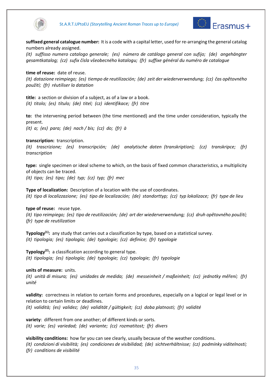



**suffixed general catalogue number:** It is a code with a capital letter, used for re‐arranging the general catalog numbers already assigned.

*(it) suffisso numero catalogo generale; (es) número de catálogo general con sufijo; (de) angehängter gesamtkatalog; (cz) sufix čísla všeobecného katalogu; (fr) suffixe général du numéro de catalogue* 

#### **time of reuse:** date of reuse.

*(it) datazione reimpiego; (es) tiempo de reutilización; (de) zeit der wiederverwendung; (cz) čas opětovného použití; (fr) réutiliser la datation* 

**title:** a section or division of a subject, as of a law or a book. *(it) titolo; (es) título; (de) titel; (cz) identifikace; (fr) titre* 

**to:** the intervening period between (the time mentioned) and the time under consideration, typically the present.

*(it) a; (es) para; (de) nach / bis; (cz) do; (fr) à* 

## **transcription:** transcription.

*(it) trascrizione; (es) transcripción; (de) analytische daten (transkription); (cz) transkripce; (fr) transcription* 

**type:** single specimen or ideal scheme to which, on the basis of fixed common characteristics, a multiplicity of objects can be traced.

*(it) tipo; (es) tipo; (de) typ; (cz) typ; (fr) mec* 

**Type of localization:** Description of a location with the use of coordinates. *(it) tipo di localizzazione; (es) tipo de localización; (de) standorttyp; (cz) typ lokalizace; (fr) type de lieu* 

#### **type of reuse:** reuse type.

*(it) tipo reimpiego; (es) tipo de reutilización; (de) art der wiederverwendung; (cz) druh opětovného použití; (fr) type de reutilization* 

**Typology(1):** any study that carries out a classification by type, based on a statistical survey. *(it) tipologia; (es) tipología; (de) typologie; (cz) definice; (fr) typologie* 

**Typology(2):** a classification according to general type. *(it) tipologia; (es) tipología; (de) typologie; (cz) typologie; (fr) typologie* 

#### **units of measure:** units.

*(it) unità di misura; (es) unidades de medida; (de) messeinheit / maßeinheit; (cz) jednotky měření; (fr) unité* 

**validity:** correctness in relation to certain forms and procedures, especially on a logical or legal level or in relation to certain limits or deadlines.

*(it) validità; (es) validez; (de) validität / gültigkeit; (cz) doba platnosti; (fr) validité* 

**variety**: different from one another; of different kinds or sorts. *(it) varie; (es) variedad; (de) variante; (cz) rozmatitost; (fr) divers* 

**visibility conditions:** how far you can see clearly, usually because of the weather conditions. *(it) condizioni di visibilità; (es) condiciones de visibilidad; (de) sichtverhältnisse; (cz) podmínky viditelnosti; (fr) conditions de visibilité*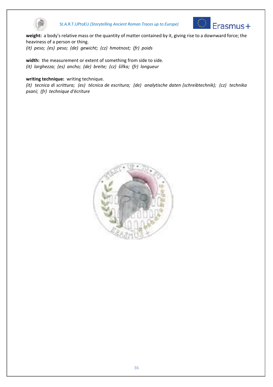



**weight:** a body's relative mass or the quantity of matter contained by it, giving rise to a downward force; the heaviness of a person or thing.

*(it) peso; (es) peso; (de) gewicht; (cz) hmotnost; (fr) poids* 

width: the measurement or extent of something from side to side. *(it) larghezza; (es) ancho; (de) breite; (cz) šířka; (fr) longueur* 

## **writing technique:** writing technique.

*(it) tecnica di scrittura; (es) técnica de escritura; (de) analytische daten (schreibtechnik); (cz) technika psaní; (fr) technique d'écriture* 

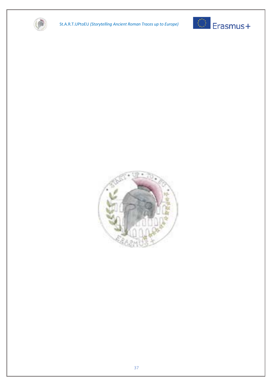



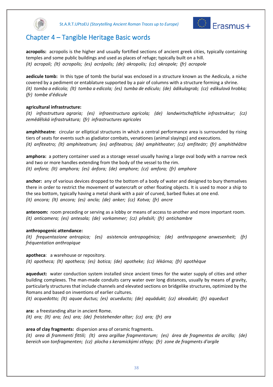



## Chapter 4 – Tangible Heritage Basic words

**acropolis:** acropolis is the higher and usually fortified sections of ancient greek cities, typically containing temples and some public buildings and used as places of refuge; typically built on a hill. *(it) acropoli; (lt) acropolis; (es) acrópolis; (de) akropolis; (cz) akropole; (fr) acropole* 

**aedicule tomb:** In this type of tomb the burial was enclosed in a structure known as the Aedicula, a niche covered by a pediment or entablature supported by a pair of columns with a structure forming a shrine. *(it) tomba a edicola; (lt) tomba a edicola; (es) tumba de edículo; (de) ädikulagrab; (cz) edikulová hrobka; (fr) tombe d'édicule* 

## **agricultural infrastructure:**

*(it) infrastruttura agraria; (es) infraestructura agrícola; (de) landwirtschaftliche infrastruktur; (cz) zemědělská infrastruktura; (fr) infrastructures agricoles* 

**amphitheatre**: circular or elliptical structures in which a central performance area is surrounded by rising tiers of seats for events such as gladiator combats, venationes (animal slayings) and executions. *(it) anfiteatro; (lt) amphiteatrum; (es) anfiteatros; (de) amphitheater; (cz) amfiteátr; (fr) amphithéâtre* 

**amphora:** a pottery container used as a storage vessel usually having a large oval body with a narrow neck and two or more handles extending from the body of the vessel to the rim. *(it) anfora; (lt) amphora; (es) ánfora; (de) amphore; (cz) amfora; (fr) amphore* 

**anchor:** any of various devices dropped to the bottom of a body of water and designed to bury themselves there in order to restrict the movement of watercraft or other floating objects. It is used to moor a ship to the sea bottom, typically having a metal shank with a pair of curved, barbed flukes at one end. *(it) ancora; (lt) ancora; (es) ancla; (de) anker; (cz) Kotva; (fr) ancre* 

anteroom: room preceding or serving as a lobby or means of access to another and more important room. *(it) anticamera; (es) antesala; (de) vorkammer; (cz) předsíň; (fr) antichambre* 

## **anthropogenic attendance:**

*(it) frequentazione antropica; (es) asistencia antropogénica; (de) anthropogene anwesenheit; (fr) fréquentation anthropique* 

**apotheca**: a warehouse or repository. *(it) apotheca; (lt) apotheca; (es) botica; (de) apotheke; (cz) lékárna; (fr) apothèque* 

**aqueduct:** water conduction system installed since ancient times for the water supply of cities and other building complexes. The man‐made conduits carry water over long distances, usually by means of gravity, particularly structures that include channels and elevated sections on bridgelike structures, optimized by the Romans and based on inventions of earlier cultures.

*(it) acquedotto; (lt) aquae ductus; (es) acueducto; (de) aquädukt; (cz) akvadukt; (fr) aqueduct* 

**ara:** a freestanding altar in ancient Rome. *(it) ara; (lt) ara; (es) ara; (de) freistehender altar; (cz) ara; (fr) ara* 

**area of clay fragments:** dispersion area of ceramic fragments.

*(it) area di frammenti fittili; (lt) area argillae fragmentorum; (es) área de fragmentos de arcilla; (de) bereich von tonfragmenten; (cz) plocha s keramickými střepy; (fr) zone de fragments d'argile*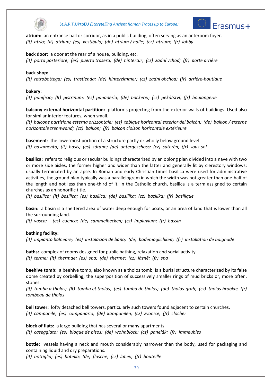



**atrium:** an entrance hall or corridor, as in a public building, often serving as an anteroom foyer. *(it) atrio; (lt) atrium; (es) vestíbulo; (de) atrium / halle; (cz) atrium; (fr) lobby* 

**back door:** a door at the rear of a house, building, etc.

*(it) porta posteriore; (es) puerta trasera; (de) hintertür; (cz) zadní vchod; (fr) porte arrière* 

#### **back shop:**

*(it) retrobottega; (es) trastienda; (de) hinterzimmer; (cz) zadní obchod; (fr) arrière‐boutique* 

#### **bakery:**

*(it) panificio; (lt) pistrinum; (es) panadería; (de) bäckerei; (cz) pekářství; (fr) boulangerie* 

**balcony external horizontal partition:** platforms projecting from the exterior walls of buildings. Used also for similar interior features, when small.

*(it) balcone partizione esterna orizzontale; (es) tabique horizontal exterior del balcón; (de) balkon / externe horizontale trennwand; (cz) balkon; (fr) balcon cloison horizontale extérieure* 

**basement**: the lowermost portion of a structure partly or wholly below ground level. *(it) basamento; (lt) basis; (es) sótano; (de) untergeschoss; (cz) suterén; (fr) sous‐sol* 

**basilica:** refers to religious or secular buildings characterized by an oblong plan divided into a nave with two or more side aisles, the former higher and wider than the latter and generally lit by clerestory windows; usually terminated by an apse. In Roman and early Christian times basilica were used for administrative activities, the ground plan typically was a parallelogram in which the width was not greater than one‐half of the length and not less than one-third of it. In the Catholic church, basilica is a term assigned to certain churches as an honorific title.

*(it) basilica; (lt) basilica; (es) basílica; (de) basilika; (cz) bazilika; (fr) basilique* 

**basin:** a basin is a sheltered area of water deep enough for boats, or an area of land that is lower than all the surrounding land.

*(it) vasca; (es) cuenca; (de) sammelbecken; (cz) impluvium; (fr) bassin* 

#### **bathing facility:**

*(it) impianto balneare; (es) instalación de baño; (de) bademöglichkeit; (fr) installation de baignade* 

**baths:** complex of rooms designed for public bathing, relaxation and social activity. *(it) terme; (lt) thermae; (es) spa; (de) therme; (cz) lázně; (fr) spa* 

**beehive tomb:** a beehive tomb, also known as a tholos tomb, is a burial structure characterized by its false dome created by corbelling, the superposition of successively smaller rings of mud bricks or, more often, stones.

*(it) tomba a tholos; (lt) tomba et tholos; (es) tumba de tholos; (de) tholos‐grab; (cz) tholos hrobka; (fr) tombeau de tholos* 

**bell tower:** lofty detached bell towers, particularly such towers found adjacent to certain churches. *(it) campanile; (es) campanario; (de) kampanilen; (cz) zvonice; (fr) clocher* 

**block of flats:** a large building that has several or many apartments. *(it) caseggiato; (es) bloque de pisos; (de) wohnblock; (cz) panelák; (fr) immeubles* 

**bottle:** vessels having a neck and mouth considerably narrower than the body, used for packaging and containing liquid and dry preparations.

*(it) bottiglia; (es) botella; (de) flasche; (cz) lahev; (fr) bouteille*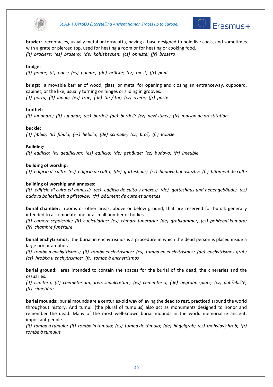



**brazier:** receptacles, usually metal or terracotta, having a base designed to hold live coals, and sometimes with a grate or pierced top, used for heating a room or for heating or cooking food. *(it) braciere; (es) brasero; (de) kohlebecken; (cz) ohniště; (fr) brasero* 

#### **bridge:**

*(it) ponte; (lt) pons; (es) puente; (de) brücke; (cz) most; (fr) pont* 

**brings:** a movable barrier of wood, glass, or metal for opening and closing an entranceway, cupboard, cabinet, or the like, usually turning on hinges or sliding in grooves. *(it) porta; (lt) ianua; (es) trae; (de) tür / tor; (cz) dveře; (fr) porte* 

## **brothel:**

*(it) lupanare; (lt) lupanar; (es) burdel; (de) bordell; (cz) nevěstinec; (fr) maison de prostitution* 

## **buckle:**

*(it) fibbia; (lt) fibula; (es) hebilla; (de) schnalle; (cz) brož; (fr) Boucle* 

#### **Building:**

*(it) edificio; (lt) aedificium; (es) edificio; (de) gebäude; (cz) budova; (fr) imeuble* 

## **building of worship:**

*(it) edificio di culto; (es) edificio de culto; (de) gotteshaus; (cz) budova bohoslužby; (fr) bâtiment* de *culte* 

## **building of worship and annexes:**

*(it) edificio di culto ed annessi; (es) edificio de culto y anexos; (de) gotteshaus und nebengebäude; (cz) budova bohoslužeb a přístavby; (fr) bâtiment de culte et annexes* 

**burial chamber:** rooms or other areas, above or below ground, that are reserved for burial, generally intended to accomodate one or a small number of bodies.

*(it) camera sepolcrale; (lt) cubicularius; (es) cámara funeraria; (de) grabkammer; (cz) pohřební komora; (fr) chambre funéraire* 

**burial enchytrismos:** the burial in enchytrismos is a procedure in which the dead person is placed inside a large urn or amphora.

*(it) tomba a enchytrismos; (lt) tomba enchytrismos; (es) tumba en enchytrismos; (de) enchytrismos‐grab; (cz) hrobka u enchytrismos; (fr) tombe à enchytrismos* 

**burial ground:** area intended to contain the spaces for the burial of the dead, the cineraries and the ossuaries.

*(it) cimitero; (lt) coemeterium, area, sepulcretum; (es) cementerio; (de) begräbnisplatz; (cz) pohřebiště; (fr) cimetière* 

**burial mounds:** burial mounds are a centuries‐old way of laying the dead to rest, practiced around the world throughout history. And tumuli (the plural of tumulus) also act as monuments designed to honor and remember the dead. Many of the most well‐known burial mounds in the world memorialize ancient, important people.

*(it) tomba a tumulo; (lt) tomba in tumulo; (es) tumba de túmulo; (de) hügelgrab; (cz) mohylový hrob; (fr) tombe à tumulus*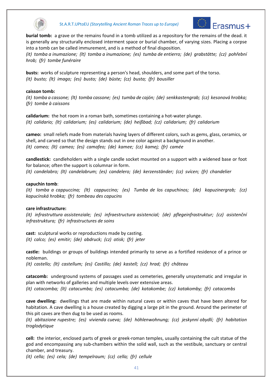



**burial tomb:** a grave or the remains found in a tomb utilized as a repository for the remains of the dead. it is generally any structurally enclosed interment space or burial chamber, of varying sizes. Placing a corpse into a tomb can be called immurement, and is a method of final disposition.

*(it) tomba a inumazione; (lt) tomba a inumazione; (es) tumba de entierro; (de) grabstätte; (cz) pohřební hrob; (fr) tombe funéraire* 

**busts:** works of sculpture representing a person's head, shoulders, and some part of the torso. *(it) busto; (lt) imago; (es) busto; (de) büste; (cz) busta; (fr) bousiller* 

#### **caisson tomb:**

*(it) tomba a cassone; (lt) tomba cassone; (es) tumba de cajón; (de) senkkastengrab; (cz) kesonová hrobka; (fr) tombe à caissons* 

**calidarium:** the hot room in a roman bath, sometimes containing a hot‐water plunge. *(it) calidario; (lt) calidarium; (es) calidarium; (de) heißbad; (cz) calidarium; (fr) calidarium* 

**cameo:** small reliefs made from materials having layers of different colors, such as gems, glass, ceramics, or shell, and carved so that the design stands out in one color against a background in another. *(it) cameo; (lt) cameo; (es) camafeo; (de) kamee; (cz) kamej; (fr) camée* 

**candlestick:**  candleholders with a single candle socket mounted on a support with a widened base or foot for balance; often the support is columnar in form.

*(it) candelabro; (lt) candelabrum; (es) candelero; (de) kerzenständer; (cz) svícen; (fr) chandelier* 

## **capuchin tomb**:

*(it) tomba a cappuccina; (lt) cappuccino; (es) Tumba de los capuchinos; (de) kapuzinergrab; (cz) kapucínská hrobka; (fr) tombeau des capucins* 

#### **care infrastructure:**

*(it) infrastruttura assistenziale; (es) infraestructura asistencial; (de) pflegeinfrastruktur; (cz) asistenční infrastruktura; (fr) infrastructures de soins* 

**cast:** sculptural works or reproductions made by casting. *(it) calco; (es) emitir; (de) abdruck; (cz) otisk; (fr) jeter* 

**castle:** buildings or groups of buildings intended primarily to serve as a fortified residence of a prince or nobleman.

*(it) castello; (lt) castellum; (es) Castillo; (de) kastell; (cz) hrad; (fr) château* 

**catacomb:** underground systems of passages used as cemeteries, generally unsystematic and irregular in plan with networks of galleries and multiple levels over extensive areas.

*(it) catacomba; (lt) catacumba; (es) catacumba; (de) katakombe; (cz) katakomby; (fr) catacombs* 

**cave dwelling:** dwellings that are made within natural caves or within caves that have been altered for habitation. A cave dwelling is a house created by digging a large pit in the ground. Around the perimeter of this pit caves are then dug to be used as rooms.

*(it) abitazione rupestre; (es) vivienda cueva; (de) höhlenwohnung; (cz) jeskynní obydlí; (fr) habitation troglodytique* 

**cell:** the interior, enclosed parts of greek or greek-roman temples, usually containing the cult statue of the god and encompassing any sub‐chambers within the solid wall, such as the vestibule, sanctuary or central chamber, and treasury.

*(it) cella; (es) cela; (de) tempelraum; (cz) cella; (fr) cellule*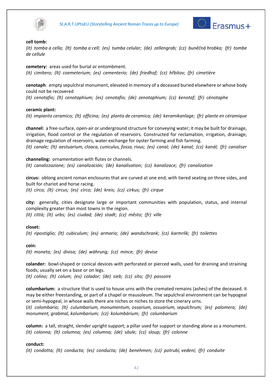



#### **cell tomb:**

*(it) tomba a cella; (lt) tomba a cell; (es) tumba celular; (de) zellengrab; (cz) buněčná hrobka; (fr) tombe de cellule* 

**cemetery:** areas used for burial or entombment. *(it) cimitero; (lt) coemeterium; (es) cementerio; (de) friedhof; (cz) hřbitov; (fr) cimetière* 

**cenotaph**: empty sepulchral monument, elevated in memory of a deceased buried elsewhere or whose body could not be recovered

*(it) cenotafio; (lt) cenotaphium; (es) cenotafio; (de) zenotaphium; (cz) kenotaf; (fr) cénotaphe* 

#### **ceramic plant:**

*(it) impianto ceramico; (lt) officina; (es) planta de ceramica; (de) keramikanlage; (fr) plante en céramique* 

**channel:** a free‐surface, open‐air or underground structure for conveying water; it may be built for drainage, irrigation, flood control or the regulation of reservoirs. Constructed for reclamation, irrigation, drainage, drainage regulation of reservoirs, water exchange for oyster farming and fish farming. *(it) canale; (lt) aestuarium, cloaca, cuniculus, fossa, rivus; (es) canal; (de) kanal; (cz) kanál; (fr) canaliser* 

**channeling:** ornamentation with flutes or channels. *(it) canalizzazione; (es) canalización; (de) kanalisation; (cz) kanalizace; (fr) canalization* 

**circus:** oblong ancient roman enclosures that are curved at one end, with tiered seating on three sides, and built for chariot and horse racing. *(it) circo; (lt) circus; (es) circo; (de) kreis; (cz) cirkus; (fr) cirque* 

**city:** generally, cities designate large or important communities with population, status, and internal complexity greater than most towns in the region. *(it) città; (lt) urbs; (es) ciudad; (de) stadt; (cz) město; (fr) ville* 

#### **closet:**

*(it) ripostiglio; (lt) cubiculum; (es) armario; (de) wandschrank; (cz) karmrlík; (fr) toilettes* 

#### **coin:**

*(it) moneta; (es) divisa; (de) währung; (cz) mince; (fr) devise* 

**colander:** bowl‐shaped or conical devices with perforated or pierced walls, used for draining and straining foods; usually set on a base or on legs.

*(it) colino; (lt) colum; (es) colador; (de) sieb; (cz) síto; (fr) passoire* 

**columbarium:** a structure that is used to house urns with the cremated remains (ashes) of the deceased. it may be either freestanding, or part of a chapel or mausoleum. The sepulchral environment can be hypogeal or semi‐hypogeal, in whose walls there are niches or niches to store the cinerary urns. (*it) colombario; (lt) culumbarium, monumentum, ossarium, ossuarium, sepulchrum; (es) palomera; (de) monument, grabmal, kolumbarium; (cz) kolumbárium; (fr) columbarium* 

**column:** a tall, straight, slender upright support; a pillar used for support or standing alone as a monument. *(it) colonna; (lt) columna; (es) columna; (de) säule; (cz) sloup; (fr) colonne* 

#### **conduct:**

*(it) condotta; (lt) conducta; (es) conducta; (de) benehmen; (cz) potrubí, vedení; (fr) conduite*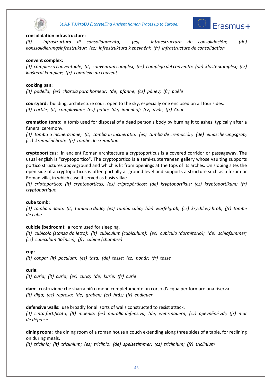



## **consolidation infrastructure:**

*(it) infrastruttura di consolidamento; (es) infraestructura de consolidación; (de) konssolidierungsinfrastruktur; (cz) infrastruktura k zpevnění; (fr) infrastructure de consolidation* 

#### **convent complex:**

*(it) complesso conventuale; (lt) conventum complex; (es) complejo del convento; (de) klosterkomplex; (cz) klášterní komplex; (fr) complexe du couvent* 

#### **cooking pan:**

*(it) padella; (es) charola para hornear; (de) pfanne; (cz) pánev; (fr) poêle* 

**courtyard:**  building, architecture court open to the sky, especially one enclosed on all four sides. *(it) cortile; (lt) compluvium; (es) patio; (de) innenhof; (cz) dvůr; (fr) Cour* 

**cremation tomb:** a tomb used for disposal of a dead person's body by burning it to ashes, typically after a funeral ceremony.

*(it) tomba a incinerazione; (lt) tomba in incineratio; (es) tumba de cremación; (de) einäscherungsgrab; (cz) kremační hrob; (fr) tombe de cremation* 

**cryptoporticus:** in ancient Roman architecture a cryptoporticus is a covered corridor or passageway. The usual english is "cryptoportico". The cryptoportico is a semi‐subterranean gallery whose vaulting supports portico structures aboveground and which is lit from openings at the tops of its arches. On sloping sites the open side of a cryptoporticus is often partially at ground level and supports a structure such as a forum or Roman villa, in which case it served as basis villae.

*(it) criptoportico; (lt) cryptoporticus; (es) criptopórticos; (de) kryptoportikus; (cz) kryptoportikum; (fr) cryptoportique* 

#### cube tomb:

*(it) tomba a dado; (lt) tomba a dado; (es) tumba cubo; (de) würfelgrab; (cz) krychlový hrob; (fr) tombe de cube* 

## **cubicle (bedroom)**: a room used for sleeping.

*(it) cubicolo (stanza da letto); (lt) cubiculum (cubiculum); (es) cubículo (dormitorio); (de) schlafzimmer; (cz) cubiculum (ložnice); (fr) cabine (chambre)* 

#### cup:

*(it) coppa; (lt) poculum; (es) taza; (de) tasse; (cz) pohár; (fr) tasse* 

#### **curia:**

*(it) curia; (lt) curia; (es) curia; (de) kurie; (fr) curie* 

**dam:** costruzione che sbarra più o meno completamente un corso d'acqua per formare una riserva. *(it) diga; (es) represa; (de) graben; (cz) hráz; (fr) endiguer* 

**defensive walls:** use broadly for all sorts of walls constructed to resist attack.

*(it) cinta fortificata; (lt) moenia; (es) muralla defensiva; (de) wehrmauern; (cz) opevněné zdi; (fr) mur de défense* 

**dining room:** the dining room of a roman house a couch extending along three sides of a table, for reclining on during meals.

*(it) triclinio; (lt) triclinium; (es) triclinio; (de) speisezimmer; (cz) triclinium; (fr) triclinium*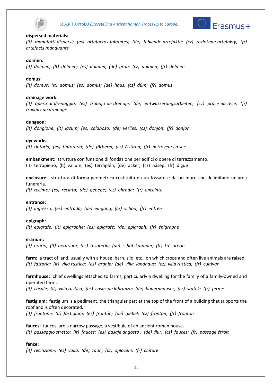



#### **dispersed materials:**

*(it) manufatti dispersi; (es) artefactos faltantes; (de) fehlende artefakte; (cz) rozložené artefakty; (fr) artefacts manquants* 

## dolmen:

*(it) dolmen; (lt) dolmen; (es) dolmen; (de) grab; (cz) dolmen; (fr) dolmen* 

## **domus:**

*(it) domus; (lt) domus; (es) domus; (de) haus; (cz) dům; (fr) domus* 

## **drainage work:**

*(it) opera di drenaggio; (es) trabajo de drenaje; (de) entwässerungsarbeiten; (cz) práce na řece; (fr) travaux de drainage* 

#### dungeon:

*(it) dongione; (lt) lacum; (es) calabozo; (de) verlies; (cz) donjon; (fr) donjon* 

## dyeworks:

*(it) tintoria; (es) tintorería; (de) färberei; (cz) čistírna; (fr) nettoyeurs à sec* 

**embankment:** struttura con funzione di fondazione per edifici o opere di terrazzamento.

(it) terrapieno; (lt) vallum; (es) terraplén; (de) acker; (cz) násep; (fr) digue

**enclosure:** struttura di forma geometrica costituita da un fossato e da un muro che delimitano un'area funeraria.

*(it) recinto; (es) recinto; (de) gehege; (cz) ohrada; (fr) enceinte* 

#### **entrance:**

*(it) ingresso; (es) entrada; (de) eingang; (cz) vchod; (fr) entrée* 

## **epigraph:**

*(it) epigrafe; (lt) epigraphe; (es) epígrafe; (de) epigraph; (fr) épigraphe* 

#### **erarium:**

*(it) erario; (lt) aerarium; (es) tesorería; (de) schatzkammer; (fr) trésorerie* 

**farm:** a tract of land, usually with a house, barn, silo, etc., on which crops and often live animals are raised. *(it) fattoria; (lt) villa rustica; (es) granja; (de) villa, landhaus; (cz) villa rustica; (fr) cultivar* 

farmhouse: chief dwellings attached to farms, particularly a dwelling for the family of a family-owned and operated farm.

*(it) casale; (lt) villa rustica; (es) casas de labranza; (de) bauernhäuser; (cz) statek; (fr) ferme* 

**fastigium:** fastigium is a pediment, the triangular part at the top of the front of a building that supports the roof and is often decorated. *(it) frontone; (lt) fastigium; (es) frontón; (de) giebel; (cz) fronton; (fr) fronton* 

**fauces:** fauces are a narrow passage, a vestibule of an ancient roman house. *(it) passaggio stretto; (lt) fauces; (es) pasaje angosto ; (de) flur; (cz) fauces; (fr) passage étroit* 

## fence:

*(it) recinzione; (es) valla; (de) zaun; (cz) oplocení; (fr) cloture*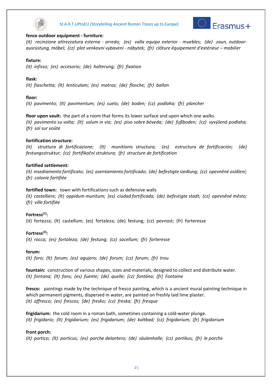



#### **fence outdoor equipment ‐ furniture**:

*(it) recinzione attrezzatura esterna ‐ arredo; (es) valla equipo exterior ‐ muebles; (de) zaun, outdoor‐ ausrüstung, möbel; (cz) plot venkovní vybavení ‐ nábytek; (fr) clôture équipement d'extérieur – mobilier* 

#### fixture:

*(it) infisso; (es) accesorio; (de) halterung; (fr) fixation* 

## **flask:**

*(it) fiaschetta; (lt) lenticulam; (es) matraz; (de) flasche; (fr) ballon* 

## floor:

*(it) pavimento; (lt) pavimentum; (es) suelo; (de) boden; (cz) podlaha; (fr) plancher* 

**floor upon vault:** the part of a room that forms its lower surface and upon which one walks. *(it) pavimento su volta; (lt) solum in via; (es) piso sobre bóveda; (de) fußboden; (cz) vyvýšená podlaha; (fr) sol sur voûte* 

## **fortification structure:**

*(it) struttura di fortificazione; (lt) munitionis structura; (es) estructura de fortificación; (de) festungsstruktur; (cz) fortifikační struktura; (fr) structure de fortification* 

## **fortified settlement:**

*(it) insediamento fortificato; (es) asentamiento fortificado; (de) befestigte siedlung; (cz) opevněné osídlení; (fr) colonie fortifiée* 

## **fortified town:** town with fortifications such as defensive walls

*(it) castelliere; (lt) oppidum munitum; (es) ciudad fortificada; (de) befestigte stadt; (cz) opevněné město; (fr) ville fortifiée* 

Fortress<sup>(1)</sup>: (it) fortezza; (lt) castellum; (es) fortaleza; (de) festung; (cz) pevnost; (fr) forteresse

## **Fortress(2):**

*(it) rocca; (es) fortaleza; (de) festung; (cz) sacellum; (fr) forteresse* 

#### forum:

*(it) foro; (lt) forum; (es) agujero; (de) forum; (cz) forum; (fr) trou* 

**fountain:** construction of various shapes, sizes and materials, designed to collect and distribute water. *(it) fontana; (lt) fons; (es) fuente; (de) quelle; (cz) fontána; (fr) Fontaine* 

**fresco:** paintings made by the technique of fresco painting, which is a ancient mural painting technique in which permanent pigments, dispersed in water, are painted on freshly laid lime plaster. *(it) affresco; (es) frescos; (de) fresko; (cz) freska; (fr) fresque* 

frigidarium: the cold room in a roman bath, sometimes containing a cold-water plunge. *(it) frigidario; (lt) frigidarium; (es) frigidarium; (de) kaltbad; (cz) frigidarium; (fr) frigidarium* 

#### front porch:

*(it) portico; (lt) porticus; (es) porche delantero; (de) säulenhalle; (cz) portikus; (fr) le porche*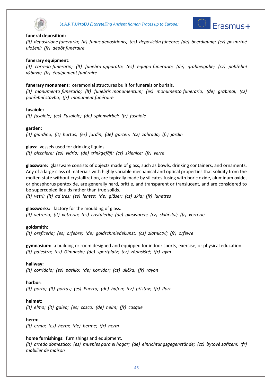



#### **funeral deposition:**

*(it) deposizione funeraria; (lt) funus depositionis; (es) deposición fúnebre; (de) beerdigung; (cz) posmrtné uložení; (fr) dépôt funéraire* 

#### **funerary equipment:**

*(it) corredo funerario; (lt) funebra apparata; (es) equipo funerario; (de) grabbeigabe; (cz) pohřební výbava; (fr) équipement funéraire* 

## funerary monument: ceremonial structures built for funerals or burials.

*(it) monumento funerario; (lt) funebris monumentum; (es) monumento funerario; (de) grabmal; (cz) pohřební stavba; (fr) monument funéraire* 

## **fusaiole:**

*(it) fusaiole; (es) Fusaiole; (de) spinnwirbel; (fr) fusaïole* 

#### **garden:**

*(it) giardino; (lt) hortus; (es) jardín; (de) garten; (cz) zahrada; (fr) jardin* 

**glass:** vessels used for drinking liquids. *(it) bicchiere; (es) vidrio; (de) trinkgefäß; (cz) sklenice; (fr) verre* 

**glassware:** glassware consists of objects made of glass, such as bowls, drinking containers, and ornaments. Any of a large class of materials with highly variable mechanical and optical properties that solidify from the molten state without crystallization, are typically made by silicates fusing with boric oxide, aluminum oxide, or phosphorus pentoxide, are generally hard, brittle, and transparent or translucent, and are considered to be supercooled liquids rather than true solids.

*(it) vetri; (lt) ad tres; (es) lentes; (de) gläser; (cz) skla; (fr) lunettes* 

## **glassworks:** factory for the moulding of glass.

*(it) vetreria; (lt) vetreria; (es) cristalería; (de) glaswaren; (cz) sklářství; (fr) verrerie* 

#### **goldsmith:**

*(it) oreficeria; (es) orfebre; (de) goldschmiedekunst; (cz) zlatnictví; (fr) orfèvre* 

**gymnasium:** a building or room designed and equipped for indoor sports, exercise, or physical education. *(it) palestra; (es) Gimnasio; (de) sportplatz; (cz) zápasiště; (fr) gym* 

#### **hallway:**

*(it) corridoio; (es) pasillo; (de) korridor; (cz) ulička; (fr) rayon* 

#### harbor:

*(it) porto; (lt) portus; (es) Puerto; (de) hafen; (cz) přístav; (fr) Port* 

#### **helmet:**

*(it) elmo; (lt) galea; (es) casco; (de) helm; (fr) casque* 

#### herm:

*(it) erma; (es) herm; (de) herme; (fr) herm* 

## **home furnishings**: furnishings and equipment.

*(it) arredo domestico; (es) muebles para el hogar; (de) einrichtungsgegenstände; (cz) bytové zařízení; (fr) mobilier de maison*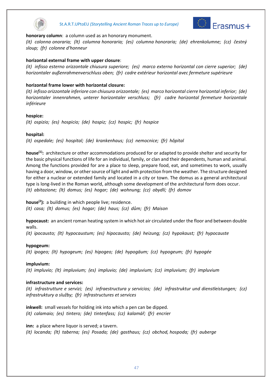



#### **honorary column**: a column used as an honorary monument.

*(it) colonna onoraria; (lt) columna honoraria; (es) columna honoraria; (de) ehrenkolumne; (cz) čestný sloup; (fr) colonne d'honneur* 

#### **horizontal external frame with upper closure**:

*(it) infisso esterno orizzontale chiusura superiore; (es) marco externo horizontal con cierre superior; (de) horizontaler außenrahmenverschluss oben; (fr) cadre extérieur horizontal avec fermeture supérieure* 

#### **horizontal frame lower with horizontal closure:**

*(it) infisso orizzontale inferiore con chiusura orizzontale; (es) marco horizontal cierre horizontal inferior; (de) horizontaler innenrahmen, unterer horizontaler verschluss; (fr) cadre horizontal fermeture horizontale inférieure* 

#### **hospice:**

*(it) ospizio; (es) hospicio; (de) hospiz; (cz) hospic; (fr) hospice* 

#### **hospital:**

*(it) ospedale; (es) hospital; (de) krankenhaus; (cz) nemocnice; (fr) hôpital* 

**house(1):** architecture or other accommodations produced for or adapted to provide shelter and security for the basic physical functions of life for an individual, family, or clan and their dependents, human and animal. Among the functions provided for are a place to sleep, prepare food, eat, and sometimes to work, usually having a door, window, or other source of light and with protection from the weather. The structure designed for either a nuclear or extended family and located in a city or town. The domus as a general architectural type is long‐lived in the Roman world, although some development of the architectural form does occur. *(it) abitazione; (lt) domus; (es) hogar; (de) wohnung; (cz) obydlí; (fr) domov* 

**house(2):** a building in which people live; residence.

*(it) casa; (lt) domus; (es) hogar; (de) haus; (cz) dům; (fr) Maison* 

**hypocaust:** an ancient roman heating system in which hot air circulated under the floor and between double walls.

*(it) ipocausto; (lt) hypocaustum; (es) hipocausto; (de) heizung; (cz) hypokaust; (fr) hypocauste* 

#### **hypogeum:**

*(it) ipogeo; (lt) hypogeum; (es) hipogeo; (de) hypogäum; (cz) hypogeum; (fr) hypogée* 

#### impluvium:

*(it) impluvio; (lt) impluvium; (es) impluvio; (de) impluvium; (cz) impluvium; (fr) impluvium* 

#### **infrastructure and services:**

*(it) infrastrutture e servizi; (es) infraestructura y servicios; (de) infrastruktur und dienstleistungen; (cz) infrastruktury a služby; (fr) infrastructures et services* 

**inkwell:** small vessels for holding ink into which a pen can be dipped. *(it) calamaio; (es) tintero; (de) tintenfass; (cz) kalamář; (fr) encrier* 

**inn:** a place where liquor is served; a tavern. *(it) locanda; (lt) taberna; (es) Posada; (de) gasthaus; (cz) obchod, hospoda; (fr) auberge*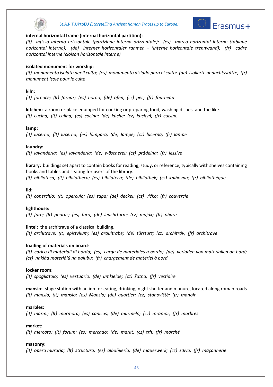



## **internal horizontal frame (internal horizontal partition):**

*(it) infisso interno orizzontale (partizione interna orizzontale); (es) marco horizontal interno (tabique horizontal interno); (de) interner horizontaler rahmen – (interne horizontale trennwand); (fr) cadre horizontal interne (cloison horizontale interne)* 

#### **isolated monument for worship:**

*(it) monumento isolato per il culto; (es) monumento aislado para el culto; (de) isolierte andachtsstätte; (fr) monument isolé pour le culte* 

#### **kiln:**

*(it) fornace; (lt) fornax; (es) horno; (de) ofen; (cz) pec; (fr) fourneau* 

**kitchen:** a room or place equipped for cooking or preparing food, washing dishes, and the like. *(it) cucina; (lt) culina; (es) cocina; (de) küche; (cz) kuchyň; (fr) cuisine* 

#### lamp:

*(it) lucerna; (lt) lucerna; (es) lámpara; (de) lampe; (cz) lucerna; (fr) lampe* 

#### laundry:

*(it) lavanderia; (es) lavandería; (de) wäscherei; (cz) prádelna; (fr) lessive* 

**library:** buildings set apart to contain books for reading, study, or reference, typically with shelves containing books and tables and seating for users of the library.

*(it) biblioteca; (lt) bibliotheca; (es) biblioteca; (de) bibliothek; (cz) knihovna; (fr) bibliothèque* 

#### lid:

*(it) coperchio; (lt) operculo; (es) tapa; (de) deckel; (cz) víčko; (fr) couvercle* 

#### **lighthouse:**

*(it) faro; (lt) pharus; (es) faro; (de) leuchtturm; (cz) maják; (fr) phare* 

#### **lintel:** the architrave of a classical building.

*(it) architrave; (lt) epistylium; (es) arquitrabe; (de) türsturz; (cz) architráv; (fr) architrave* 

#### **loading of materials on board**:

*(it) carico di materiali di bordo; (es) carga de materiales a bordo; (de) verladen von materialien an bord; (cz) naklád materiálů na palubu; (fr) chargement de matériel à bord* 

#### **locker room:**

*(it) spogliatoio; (es) vestuario; (de) umkleide; (cz) šatna; (fr) vestiaire* 

mansio: stage station with an inn for eating, drinking, night shelter and manure, located along roman roads *(it) mansio; (lt) mansio; (es) Mansio; (de) quartier; (cz) stanoviště; (fr) manoir* 

#### marbles:

*(it) marmi; (lt) marmora; (es) canicas; (de) murmeln; (cz) mramor; (fr) marbres* 

#### market:

*(it) mercato; (lt) forum; (es) mercado; (de) markt; (cz) trh; (fr) marché* 

#### masonry:

*(it) opera muraria; (lt) structura; (es) albañilería; (de) mauerwerk; (cz) zdivo; (fr) maçonnerie*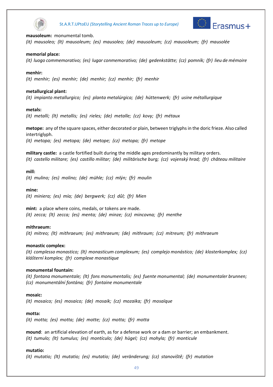



#### **mausoleum:** monumental tomb.

*(it) mausoleo; (lt) mausoleum; (es) mausoleo; (de) mausoleum; (cz) mausoleum; (fr) mausolée* 

#### **memorial place:**

*(it) luogo commemorativo; (es) lugar conmemorativo; (de) gedenkstätte; (cz) pomník; (fr) lieu de mémoire* 

#### **menhir:**

*(it) menhir; (es) menhir; (de) menhir; (cz) menhir; (fr) menhir* 

#### **metallurgical plant:**

*(it) impianto metallurgico; (es) planta metalúrgica; (de) hüttenwerk; (fr) usine métallurgique* 

#### metals:

*(it) metalli; (lt) metallis; (es) rieles; (de) metalle; (cz) kovy; (fr) métaux* 

**metope:** any of the square spaces, either decorated or plain, between triglyphs in the doric frieze. Also called intertriglyph.

*(it) metopa; (es) metopa; (de) metope; (cz) metopa; (fr) metope* 

**military castle:** a castle fortified built during the middle ages predominantly by military orders. *(it) castello militare; (es) castillo militar; (de) militärische burg; (cz) vojenský hrad; (fr) château militaire* 

#### mill:

*(it) mulino; (es) molino; (de) mühle; (cz) mlýn; (fr) moulin* 

#### mine:

*(it) miniera; (es) mía; (de) bergwerk; (cz) důl; (fr) Mien* 

**mint:** a place where coins, medals, or tokens are made. *(it) zecca; (lt) zecca; (es) menta; (de) minze; (cz) mincovna; (fr) menthe* 

#### mithraeum:

*(it) mitreo; (lt) mithraeum; (es) mithraeum; (de) mithraum; (cz) mitreum; (fr) mithraeum* 

#### **monastic complex:**

*(it) complesso monastico; (lt) monasticum complexum; (es) complejo monástico; (de) klosterkomplex; (cz) klášterní komplex; (fr) complexe monastique* 

#### **monumental fountain:**

*(it) fontana monumentale; (lt) fons monumentalis; (es) fuente monumental; (de) monumentaler brunnen; (cz) monumentální fontána; (fr) fontaine monumentale* 

#### mosaic:

*(it) mosaico; (es) mosaico; (de) mosaik; (cz) mozaika; (fr) mosaïque* 

#### **motta:**

*(it) motta; (es) motta; (de) motte; (cz) motta; (fr) motta* 

**mound**: an artificial elevation of earth, as for a defense work or a dam or barrier; an embankment. *(it) tumulo; (lt) tumulus; (es) montículo; (de) hügel; (cz) mohyla; (fr) monticule* 

#### **mutatio:**

*(it) mutatio; (lt) mutatio; (es) mutatio; (de) veränderung; (cz) stanoviště; (fr) mutation*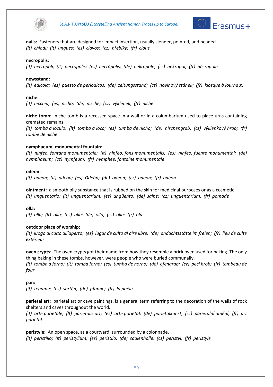



**nails:** Fasteners that are designed for impact insertion, usually slender, pointed, and headed. *(it) chiodi; (lt) ungues; (es) clavos; (cz) hřebíky; (fr) clous* 

#### **necropolis:**

*(it) necropoli; (lt) necropolis; (es) necrópolis; (de) nekropole; (cz) nekropol; (fr) nécropole* 

#### **newsstand:**

*(it) edicola; (es) puesto de periódicos; (de) zeitungsstand; (cz) novinový stánek; (fr) kiosque à journaux* 

#### **niche:**

*(it) nicchia; (es) nicho; (de) nische; (cz) výklenek; (fr) niche* 

**niche tomb:** niche tomb is a recessed space in a wall or in a columbarium used to place urns containing cremated remains.

*(it) tomba a loculo; (lt) tomba a loco; (es) tumba de nicho; (de) nischengrab; (cz) výklenkový hrob; (fr) tombe de niche* 

#### **nymphaeum, monumental fountain**:

*(it) ninfeo, fontana monumentale; (lt) ninfeo, fons monumentalis; (es) ninfeo, fuente monumental; (de) nymphaeum; (cz) nymfeum; (fr) nymphée, fontaine monumentale*

#### **odeon:**

*(it) odeon; (lt) odeon; (es) Odeón; (de) odeon; (cz) odeon; (fr) odéon* 

**ointment:** a smooth oily substance that is rubbed on the skin for medicinal purposes or as a cosmetic *(it) unguentario; (lt) unguentarium; (es) ungüento; (de) salbe; (cz) unguentarium; (fr) pomade* 

#### **olla:**

*(it) olla; (lt) olla; (es) olla; (de) olla; (cz) olla; (fr) ola* 

#### **outdoor place of worship:**

*(it) luogo di culto all'aperto; (es) lugar de culto al aire libre; (de) andachtsstätte im freien; (fr) lieu de culte extérieur* 

**oven crypts:** The oven crypts got their name from how they resemble a brick oven used for baking. The only thing baking in these tombs, however, were people who were buried communally. *(it) tomba a forno; (lt) tomba forno; (es) tumba de horno; (de) ofengrab; (cz) pecí hrob; (fr) tombeau de four* 

#### **pan:**

*(it) tegame; (es) sartén; (de) pfanne; (fr) la poêle* 

**parietal art:** parietal art or cave paintings, is a general term referring to the decoration of the walls of rock shelters and caves throughout the world.

*(it) arte parietale; (lt) parietalis art; (es) arte parietal; (de) parietalkunst; (cz) parietální umění; (fr) art parietal* 

**peristyle:** An open space, as a courtyard, surrounded by a colonnade. *(it) peristilio; (lt) peristylium; (es) peristilo; (de) säulenhalle; (cz) peristyl; (fr) peristyle*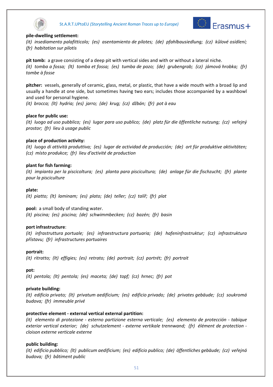



## **pile‐dwelling settlement:**

*(it) insediamento palafitticolo; (es) asentamiento de pilotes; (de) pfahlbausiedlung; (cz) kůlové osídlení; (fr) habitation sur pilotis* 

**pit tomb:** a grave consisting of a deep pit with vertical sides and with or without a lateral niche. *(it) tomba a fossa; (lt) tomba et fossa; (es) tumba de pozo; (de) grubengrab; (cz) jámová hrobka; (fr) tombe à fosse* 

**pitcher:** vessels, generally of ceramic, glass, metal, or plastic, that have a wide mouth with a broad lip and usually a handle at one side, but sometimes having two ears; includes those accompanied by a washbowl and used for personal hygiene.

*(it) brocca; (lt) hydria; (es) jarro; (de) krug; (cz) džbán; (fr) pot à eau* 

#### **place for public use:**

*(it) luogo ad uso pubblico; (es) lugar para uso publico; (de) platz für die öffentliche nutzung; (cz) veřejný prostor; (fr) lieu à usage public* 

#### **place of production activity:**

*(it) luogo di attività produttiva; (es) lugar de actividad de producción; (de) ort für produktive aktivitäten; (cz) místo produkce; (fr) lieu d'activité de production* 

#### **plant for fish farming:**

*(it) impianto per la piscicoltura; (es) planta para piscicultura; (de) anlage für die fischzucht; (fr) plante pour la pisciculture* 

#### **plate:**

*(it) piatto; (lt) laminam; (es) plato; (de) teller; (cz) talíř; (fr) plat* 

#### **pool:**  a small body of standing water.

*(it) piscina; (es) piscina; (de) schwimmbecken; (cz) bazén; (fr) basin* 

#### **port infrastructure**:

*(it) infrastruttura portuale; (es) infraestructura portuaria; (de) hafeninfrastruktur; (cz) infrastruktura přístavu; (fr) infrastructures portuaires* 

#### **portrait:**

*(it) ritratto; (lt) effigies; (es) retrato; (de) portrait; (cz) portrét; (fr) portrait* 

#### pot:

*(it) pentola; (lt) pentola; (es) maceta; (de) topf; (cz) hrnec; (fr) pot* 

#### **private building:**

*(it) edificio privato; (lt) privatum aedificium; (es) edificio privado; (de) privates gebäude; (cz) soukromá budova; (fr) immeuble privé* 

#### **protective element ‐ external vertical external partition:**

*(it) elemento di protezione ‐ esterno partizione esterna verticale; (es) elemento de protección ‐ tabique exterior vertical exterior; (de) schutzelement ‐ externe vertikale trennwand; (fr) élément de protection ‐ cloison externe verticale externe* 

#### **public building:**

*(it) edificio pubblico; (lt) publicum aedificium; (es) edificio publico; (de) öffentliches gebäude; (cz) veřejná budova; (fr) bâtiment public*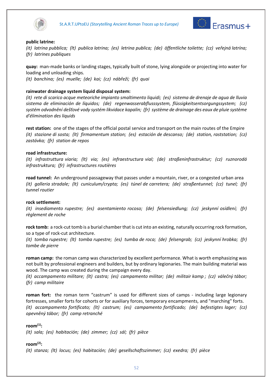



#### **public latrine:**

*(it) latrina pubblica; (lt) publica latrina; (es) letrina publica; (de) öffentliche toilette; (cz) veřejná latrína; (fr) latrines publiques* 

**quay:** man‐made banks or landing stages, typically built of stone, lying alongside or projecting into water for loading and unloading ships.

*(it) banchina; (es) muelle; (de) kai; (cz) nábřeží; (fr) quai* 

#### **rainwater drainage system liquid disposal system:**

*(it) rete di scarico acque meteoriche impianto smaltimento liquidi; (es) sistema de drenaje de agua de lluvia sistema de eliminación de líquidos; (de) regenwasserabflusssystem, flüssigkeitsentsorgungssystem; (cz) systém odvodnění dešťové vody systém likvidace kapalin; (fr) système de drainage des eaux de pluie système d'élimination des liquids* 

**rest station:** one of the stages of the official postal service and transport on the main routes of the Empire *(it) stazione di sosta; (lt) firmamentum station; (es) estación de descanso; (de) station, raststation; (cz) zastávka; (fr) station de repos* 

#### **road infrastructure:**

*(it) infrastruttura viaria; (lt) via; (es) infraestructura vial; (de) straßeninfrastruktur; (cz) ruznorodá infrastruktura; (fr) infrastructures routières* 

**road tunnel:** An underground passageway that passes under a mountain, river, or a congested urban area *(it) galleria stradale; (lt) cuniculum/crypta; (es) túnel de carretera; (de) straßentunnel; (cz) tunel; (fr) tunnel routier* 

#### **rock settlement:**

*(it) insediamento rupestre; (es) asentamiento rocoso; (de) felsensiedlung; (cz) jeskynní osídlení; (fr) règlement de roche* 

**rock tomb:** a rock-cut tomb is a burial chamber that is cut into an existing, naturally occurring rock formation, so a type of rock‐cut architecture.

*(it) tomba rupestre; (lt) tomba rupestre; (es) tumba de roca; (de) felsengrab; (cz) jeskynní hrobka; (fr) tombe de pierre* 

**roman camp:** the roman camp was characterized by excellent performance. What is worth emphasizing was not built by professional engineers and builders, but by ordinary legionaries. The main building material was wood. The camp was created during the campaign every day.

*(it) accampamento militare; (lt) castra; (es) campamento militar; (de) militair kamp ; (cz) válečný tábor; (fr) camp militaire* 

**roman fort:** the roman term "castrum" is used for different sizes of camps - including large legionary fortresses, smaller forts for cohorts or for auxiliary forces, temporary encampments, and "marching" forts. *(it) accampamento fortificato; (lt) castrum; (es) campamento fortificado; (de) befestigtes lager; (cz) opevněný tábor; (fr) camp retranché* 

#### **room(1):**

*(it) sala; (es) habitación; (de) zimmer; (cz) sál; (fr) pièce* 

## $room<sup>(2)</sup>$ :

*(it) stanza; (lt) locus; (es) habitación; (de) gesellschaftszimmer; (cz) exedra; (fr) pièce*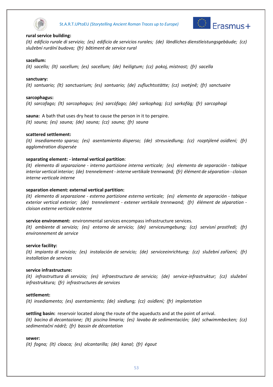



#### **rural service building:**

*(it) edificio rurale di servizio; (es) edificio de servicios rurales; (de) ländliches dienstleistungsgebäude; (cz) služební rurální budova; (fr) bâtiment de service rural* 

#### sacellum:

*(it) sacello; (lt) sacellum; (es) sacellum; (de) heiligtum; (cz) pokoj, místnost; (fr) sacella* 

#### sanctuary:

*(it) santuario; (lt) sanctuarium; (es) santuario; (de) zufluchtsstätte; (cz) svatýně; (fr) sanctuaire* 

#### **sarcophagus:**

*(it) sarcofago; (lt) sarcophagus; (es) sarcófago; (de) sarkophag; (cz) sarkofág; (fr) sarcophagi* 

**sauna:** A bath that uses dry heat to cause the person in it to perspire. *(it) sauna; (es) sauna; (de) sauna; (cz) sauna; (fr) sauna* 

#### **scattered settlement:**

*(it) insediamento sparso; (es) asentamiento disperso; (de) streusiedlung; (cz) rozptýlené osídlení; (fr) agglomération dispersée* 

#### **separating element: ‐ internal vertical partition**:

*(it) elemento di separazione ‐ interno partizione interna verticale; (es) elemento de separación ‐ tabique interior vertical interior; (de) trennelement ‐ interne vertikale trennwand; (fr) élément de séparation ‐ cloison interne verticale interne* 

#### **separation element: external vertical partition:**

*(it) elemento di separazione ‐ esterno partizione esterna verticale; (es) elemento de separación ‐ tabique exterior vertical exterior; (de) trennelement ‐ extener vertikale trennwand; (fr) élément de séparation ‐ cloison externe verticale externe* 

**service environment:** environmental services encompass infrastructure services.

*(it) ambiente di servizio; (es) entorno de servicio; (de) serviceumgebung; (cz) servisní prostředí; (fr) environnement de service* 

#### **service facility:**

*(it) impianto di servizio; (es) instalación de servicio; (de) serviceeinrichtung; (cz) služební zařízení; (fr) installation de services* 

#### **service infrastructure:**

*(it) infrastruttura di servizio; (es) infraestructura de servicio; (de) service‐infrastruktur; (cz) služební infrastruktura; (fr) infrastructures de services* 

#### **settlement:**

*(it) insediamento; (es) asentamiento; (de) siedlung; (cz) osídlení; (fr) implantation* 

#### settling basin: reservoir located along the route of the aqueducts and at the point of arrival.

*(it) bacino di decantazione; (lt) piscina limaria; (es) lavabo de sedimentación; (de) schwimmbecken; (cz) sedimentační nádrž; (fr) bassin de décantation* 

#### **sewer:**

*(it) fogna; (lt) cloaca; (es) alcantarilla; (de) kanal; (fr) égout*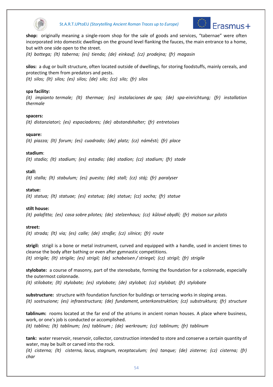



**shop:** originally meaning a single-room shop for the sale of goods and services, "tabernae" were often incorporated into domestic dwellings on the ground level flanking the fauces, the main entrance to a home, but with one side open to the street.

*(it) bottega; (lt) taberna; (es) tienda; (de) einkauf; (cz) prodejna; (fr) magasin* 

**silos:** a dug or built structure, often located outside of dwellings, for storing foodstuffs, mainly cereals, and protecting them from predators and pests.

*(it) silos; (lt) silos; (es) silos; (de) silo; (cz) silo; (fr) silos* 

## **spa facility:**

*(it) impianto termale; (lt) thermae; (es) instalaciones de spa; (de) spa‐einrichtung; (fr) installation thermale* 

## spacers:

*(it) distanziatori; (es) espaciadores; (de) abstandshalter; (fr) entretoises* 

## square:

*(it) piazza; (lt) forum; (es) cuadrado; (de) platz; (cz) náměstí; (fr) place* 

## **stadium**:

*(it) stadio; (lt) stadium; (es) estadio; (de) stadion; (cz) stadium; (fr) stade* 

## stall:

*(it) stalla; (lt) stabulum; (es) puesto; (de) stall; (cz) stáj; (fr) paralyser* 

## statue:

*(it) statua; (lt) statuae; (es) estatua; (de) statue; (cz) socha; (fr) statue* 

## stilt house:

*(it) palafitta; (es) casa sobre pilotes; (de) stelzenhaus; (cz) kůlové obydlí; (fr) maison sur pilotis* 

#### **street:**

*(it) strada; (lt) via; (es) calle; (de) straße; (cz) silnice; (fr) route* 

**strigil:** strigil is a bone or metal instrument, curved and equipped with a handle, used in ancient times to cleanse the body after bathing or even after gymnastic competitions. *(it) strigile; (lt) strigile; (es) strigil; (de) schabeisen / striegel; (cz) strigil; (fr) strigile* 

**stylobate:** a course of masonry, part of the stereobate, forming the foundation for a colonnade, especially the outermost colonnade.

*(it) stilobate; (lt) stylobate; (es) stylobate; (de) stylobat; (cz) stylobat; (fr) stylobate* 

**substructure:** structure with foundation function for buildings or terracing works in sloping areas. *(it) sostruzione; (es) infraestructura; (de) fundament, unterkonstruktion; (cz) substruktura; (fr) structure* 

**tablinum:** rooms located at the far end of the atriums in ancient roman houses. A place where business, work, or one's job is conducted or accomplished.

*(it) tablino; (lt) tablinum; (es) tablinum ; (de) werkraum; (cz) tablinum; (fr) tablinum* 

**tank:** water reservoir, reservoir, collector, construction intended to store and conserve a certain quantity of water, may be built or carved into the rock.

*(it) cisterna; (lt) cisterna, lacus, stagnum, receptaculum; (es) tanque; (de) zisterne; (cz) cisterna; (fr) char*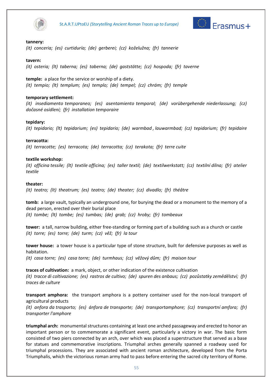



#### **tannery:**

*(it) conceria; (es) curtiduría; (de) gerberei; (cz) koželužna; (fr) tannerie* 

#### **tavern:**

*(it) osteria; (lt) taberna; (es) taberna; (de) gaststätte; (cz) hospoda; (fr) taverne* 

**temple:** a place for the service or worship of a diety.

*(it) tempio; (lt) templum; (es) templo; (de) tempel; (cz) chrám; (fr) temple* 

#### **temporary settlement:**

*(it) insediamento temporaneo; (es) asentamiento temporal; (de) vorübergehende niederlassung; (cz) dočasné osídlení; (fr) installation temporaire* 

#### **tepidary:**

*(it) tepidario; (lt) tepidarium; (es) tepidario; (de) warmbad , lauwarmbad; (cz) tepidarium; (fr) tepidaire* 

#### **terracotta:**

*(it) terracotte; (es) terracota; (de) terracotta; (cz) terakota; (fr) terre cuite* 

#### **textile workshop:**

*(it) officina tessile; (lt) textile officina; (es) taller textil; (de) textilwerkstatt; (cz) textilní dílna; (fr) atelier textile* 

#### **theater:**

*(it) teatro; (lt) theatrum; (es) teatro; (de) theater; (cz) divadlo; (fr) théâtre* 

**tomb:** a large vault, typically an underground one, for burying the dead or a monument to the memory of a dead person, erected over their burial place

*(it) tombe; (lt) tombe; (es) tumbas; (de) grab; (cz) hroby; (fr) tombeaux* 

**tower:** a tall, narrow building, either free‐standing or forming part of a building such as a church or castle *(it) torre; (es) torre; (de) turm; (cz) věž; (fr) la tour* 

**tower house:** a tower house is a particular type of stone structure, built for defensive purposes as well as habitation.

*(it) casa torre; (es) casa torre; (de) turmhaus; (cz) věžový dům; (fr) maison tour* 

**traces of cultivation:** a mark, object, or other indication of the existence cultivation *(it) tracce di coltivazione; (es) rastros de cultivo; (de) spuren des anbaus; (cz) pozůstatky zemědělství; (fr) traces de culture* 

**transport amphora:** the transport amphora is a pottery container used for the non‐local transport of agricultural products

*(it) anfora da trasporto; (es) ánfora de transporte; (de) transportamphore; (cz) transportní amfora; (fr) transporter l'amphore* 

**triumphal arch:** monumental structures containing at least one arched passageway and erected to honor an important person or to commemorate a significant event, particularly a victory in war. The basic form consisted of two piers connected by an arch, over which was placed a superstructure that served as a base for statues and commemorative inscriptions. Triumphal arches generally spanned a roadway used for triumphal processions. They are associated with ancient roman architecture, developed from the Porta Triumphalis, which the victorious roman army had to pass before entering the sacred city territory of Rome.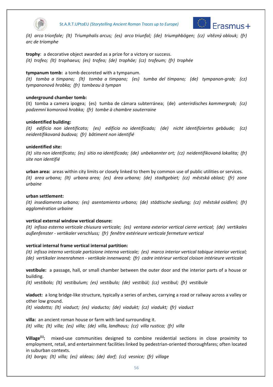



*(it) arco trionfale; (lt) Triumphalis arcus; (es) arco triunfal; (de) triumphbögen; (cz) vítězný oblouk; (fr) arc de triomphe* 

**trophy**: a decorative object awarded as a prize for a victory or success. *(it) trofeo; (lt) trophaeus; (es) trofeo; (de) trophäe; (cz) trofeum; (fr) trophée* 

## **tympanum tomb:** a tomb decoreted with a tympanum.

*(it) tomba a timpano; (lt) tomba a timpano; (es) tumba del tímpano; (de) tympanon‐grab; (cz) tympanonová hrobka; (fr) tombeau à tympan* 

## **underground chamber tomb:**

(it) tomba a camera ipogea; (es) tumba de cámara subterránea; (de) *unterirdisches kammergrab; (cz) podzemní komorová hrobka; (fr) tombe à chambre souterraine* 

#### **unidentified building:**

*(it) edificio non identificato; (es) edificio no identificado; (de) nicht identifiziertes gebäude; (cz) neidentifikovaná budova; (fr) bâtiment non identifié* 

#### **unidentified site:**

*(it) sito non identificato; (es) sitio no identificado; (de) unbekannter ort; (cz) neidentifikovaná lokalita; (fr) site non identifié* 

**urban area:** areas within city limits or closely linked to them by common use of public utilities or services. *(it) area urbana; (lt) urbana area; (es) área urbana; (de) stadtgebiet; (cz) městská oblast; (fr) zone urbaine* 

#### **urban settlement:**

*(it) insediamento urbano; (es) asentamiento urbano; (de) städtische siedlung; (cz) městské osídlení; (fr) agglomération urbaine* 

#### **vertical external window vertical closure:**

*(it) infisso esterno verticale chiusura verticale; (es) ventana exterior vertical cierre vertical; (de) vertikales außenfenster ‐ vertikaler verschluss; (fr) fenêtre extérieure verticale fermeture vertical* 

#### **vertical internal frame vertical internal partition:**

*(it) infisso interno verticale partizione interna verticale; (es) marco interior vertical tabique interior vertical; (de) vertikaler innenrahmen ‐ vertikale innenwand; (fr) cadre intérieur vertical cloison intérieure verticale* 

**vestibule:** a passage, hall, or small chamber between the outer door and the interior parts of a house or building.

*(it) vestibolo; (lt) vestibulum; (es) vestíbulo; (de) vestibül; (cz) vestibul; (fr) vestibule* 

**viaduct:** a long bridge‐like structure, typically a series of arches, carrying a road or railway across a valley or other low ground.

*(it) viadotto; (lt) viaduct; (es) viaducto; (de) viadukt; (cz) viadukt; (fr) viaduct* 

**villa:** an ancient roman house or farm with land surrounding it. *(it) villa; (lt) villa; (es) villa; (de) villa, landhaus; (cz) villa rustica; (fr) villa* 

**Village<sup>(1)</sup>:** mixed-use communities designed to combine residential sections in close proximity to employment, retail, and entertainment facilities linked by pedestrian-oriented thoroughfares; often located in suburban contexts.

*(it) borgo; (lt) villa; (es) aldeas; (de) dorf; (cz) vesnice; (fr) village*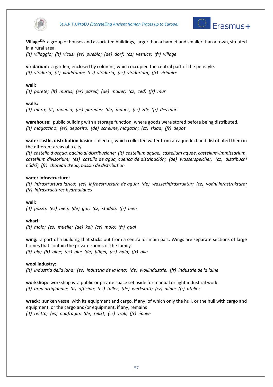



**Village<sup>(2)</sup>:** a group of houses and associated buildings, larger than a hamlet and smaller than a town, situated in a rural area.

*(it) villaggio; (lt) vicus; (es) pueblo; (de) dorf; (cz) vesnice; (fr) village* 

**viridarium:** a garden, enclosed by columns, which occupied the central part of the peristyle. *(it) viridario; (lt) viridarium; (es) viridario; (cz) viridarium; (fr) viridaire* 

## wall:

*(it) parete; (lt) murus; (es) pared; (de) mauer; (cz) zeď; (fr) mur* 

#### walls:

*(it) mura; (lt) moenia; (es) paredes; (de) mauer; (cz) zdi; (fr) des murs* 

**warehouse:** public building with a storage function, where goods were stored before being distributed. *(it) magazzino; (es) depósito; (de) scheune, magazin; (cz) sklad; (fr) dépot* 

**water castle, distribution basin:** collector, which collected water from an aqueduct and distributed them in the different areas of a city.

*(it) castello d'acqua, bacino di distribuzione; (lt) castellum aquae, castellum aquae, castellum‐immissarium, castellum divisorium; (es) castillo de agua, cuenca de distribución; (de) wasserspeicher; (cz) distribuční nádrž; (fr) château d'eau, bassin de distribution* 

#### **water infrastructure:**

*(it) infrastruttura idrica; (es) infraestructura de agua; (de) wasserinfrastruktur; (cz) vodní inrastruktura; (fr) infrastructures hydrauliques* 

#### well:

*(it) pozzo; (es) bien; (de) gut; (cz) studna; (fr) bien* 

#### **wharf:**

*(it) molo; (es) muelle; (de) kai; (cz) molo; (fr) quai*

**wing:** a part of a building that sticks out from a central or main part. Wings are separate sections of large homes that contain the private rooms of the family. *(it) ala; (lt) alae; (es) ala; (de) flügel; (cz) hala; (fr) aile* 

#### **wool industry:**

*(it) industria della lana; (es) industria de la lana; (de) wollindustrie; (fr) industrie de la laine* 

**workshop:** workshop is a public or private space set aside for manual or light industrial work. *(it) area artigianale; (lt) officina; (es) taller; (de) werkstatt; (cz) dílna; (fr) atelier* 

**wreck:** sunken vessel with its equipment and cargo, if any, of which only the hull, or the hull with cargo and equipment, or the cargo and/or equipment, if any, remains *(it) relitto; (es) naufragio; (de) relikt; (cz) vrak; (fr) épave*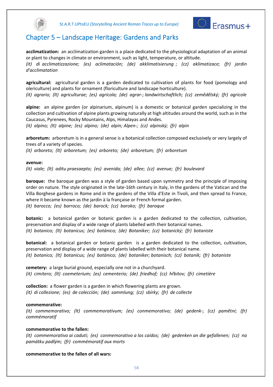



## Chapter 5 – Landscape Heritage: Gardens and Parks

**acclimatization:** an acclimatization garden is a place dedicated to the physiological adaptation of an animal or plant to changes in climate or environment, such as light, temperature, or altitude. *(it) di acclimatizzazione; (es) aclimatación; (de) akklimatisierung ; (cz) aklimatizace; (fr) jardin d'acclimatation* 

**agricultural:** agricultural garden is a garden dedicated to cultivation of plants for food (pomology and olericulture) and plants for ornament (floriculture and landscape horticulture).

*(it) agrario; (lt) agriculturae; (es) agrícola; (de) agrar‐; landwirtschaftlich; (cz) zemědělský; (fr) agricole* 

**alpine:** an alpine garden (or alpinarium, alpinum) is a domestic or botanical garden specializing in the collection and cultivation of alpine plants growing naturally at high altitudes around the world, such as in the Caucasus, Pyrenees, Rocky Mountains, Alps, Himalayas and Andes.

*(it) alpino; (lt) alpine; (es) alpino; (de) alpin; Alpen‐; (cz) alpinský; (fr) alpin* 

**arboretum:** arboretum is in a general sense is a botanical collection composed exclusively or very largely of trees of a variety of species.

*(it) arboreto; (lt) arboretum; (es) arboreto; (de) arboretum; (fr) arboretum* 

#### **avenue:**

*(it) viale; (lt) aditu praesaepto; (es) avenida; (de) allee; (cz) avenue; (fr) boulevard* 

**baroque:** the baroque garden was a style of garden based upon symmetry and the principle of imposing order on nature. The style originated in the late‐16th century in Italy, in the gardens of the Vatican and the Villa Borghese gardens in Rome and in the gardens of the Villa d'Este in Tivoli, and then spread to France, where it became known as the jardin à la française or French formal garden. *(it) barocco; (es) barroco; (de) barock; (cz) baroko; (fr) baroque* 

**botanic:** a botanical garden or botanic garden is a garden dedicated to the collection, cultivation, preservation and display of a wide range of plants labelled with their botanical names. *(it) botanico; (lt) botanicus; (es) botánico; (de) Botaniker; (cz) botanický; (fr) botaniste* 

**botanical:** a botanical garden or botanic garden is a garden dedicated to the collection, cultivation, preservation and display of a wide range of plants labelled with their botanical name. *(it) botanico; (lt) botanicus; (es) botánico; (de) botaniker; botanisch; (cz) botanik; (fr) botaniste* 

**cemetery:** a large burial ground, especially one not in a churchyard. *(it) cimitero; (lt) coemeterium; (es) cementerio; (de) friedhof; (cz) hřbitov; (fr) cimetière* 

**collection:** a flower garden is a garden in which flowering plants are grown. *(it) di collezione; (es) de colección; (de) sammlung; (cz) sbírky; (fr) de collecte* 

#### **commemorative:**

*(it) commemorativo; (lt) commemorativum; (es) conmemorativo; (de) gedenk‐; (cz) pamětní; (fr) commémoratif* 

#### **commemorative to the fallen:**

*(it) commemorativo ai caduti; (es) conmemorativo a los caídos; (de) gedenken an die gefallenen; (cz) na památku padlým; (fr) commémoratif aux morts* 

**commemorative to the fallen of all wars:**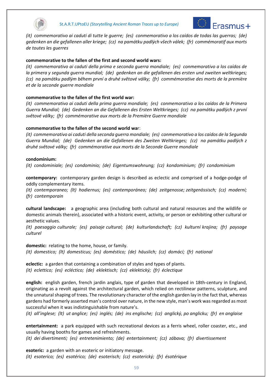



*(it) commemorativo ai caduti di tutte le guerre; (es) conmemorativo a los caídos de todas las guerras; (de) gedenken an die gefallenen aller kriege; (cz) na památku padlých všech válek; (fr) commémoratif aux morts de toutes les guerres* 

#### **commemorative to the fallen of the first and second world wars:**

*(it) commemorativo ai caduti della prima e seconda guerra mondiale; (es) conmemorativo a los caídos de la primera y segunda guerra mundial; (de) gedenken an die gefallenen des ersten und zweiten weltkrieges; (cz) na památku padlým během první a druhé světové války; (fr) commémorative des morts de la première et de la seconde guerre mondiale* 

## **commemorative to the fallen of the first world war:**

*(it) commemorativo ai caduti della prima guerra mondiale; (es) conmemorativo a los caídos de la Primera Guerra Mundial; (de) Gedenken an die Gefallenen des Ersten Weltkrieges; (cz) na památku padlých z první světové války; (fr) commémorative aux morts de la Première Guerre mondiale* 

#### **commemorative to the fallen of the second world wa**r:

*(it) commemorativo ai caduti della seconda guerra mondiale; (es) conmemorativo a los caídos de la Segunda Guerra Mundial; (de) Gedenken an die Gefallenen des Zweiten Weltkrieges; (cz) na památku padlých z druhé světové války; (fr) commémorative aux morts de la Seconde Guerre mondiale* 

#### **condominium:**

*(it) condominiale; (es) condominio; (de) Eigentumswohnung; (cz) kondominium; (fr) condominium* 

**contemporary:** contemporary garden design is described as eclectic and comprised of a hodge‐podge of oddly complementary items.

*(it) contemporaneo; (lt) hodiernus; (es) contemporáneo; (de) zeitgenosse; zeitgenössisch; (cz) moderní; (fr) contemporain* 

**cultural landscape:** a geographic area (including both cultural and natural resources and the wildlife or domestic animals therein), associated with a historic event, activity, or person or exhibiting other cultural or aesthetic values.

*(it) paesaggio culturale; (es) paisaje cultural; (de) kulturlandschaft; (cz) kulturní krajina; (fr) paysage culturel* 

**domestic:** relating to the home, house, or family.

*(it) domestico; (lt) domesticus; (es) doméstico; (de) häuslich; (cz) domácí; (fr) national* 

**eclectic:** a garden that containing a combination of styles and types of plants. *(it) eclettico; (es) ecléctico; (de) eklektisch; (cz) eklektický; (fr) éclectique* 

**english:** english garden, french jardin anglais, type of garden that developed in 18th‐century in England, originating as a revolt against the architectural garden, which relied on rectilinear patterns, sculpture, and the unnatural shaping of trees. The revolutionary character of the english garden lay in the fact that, whereas gardens had formerly asserted man's control over nature, in the new style, man's work was regarded as most successful when it was indistinguishable from nature's.

*(it) all'inglese; (lt) ut anglice; (es) inglés; (de) ins englische; (cz) anglický, po anglicku; (fr) en anglaise* 

**entertainment:** a park equipped with such recreational devices as a ferris wheel, roller coaster, etc., and usually having booths for games and refreshments.

*(it) dei divertimenti; (es) entretenimiento; (de) entertainment; (cz) zábava; (fr) divertissement* 

**esoteric:** a garden with an esoteric or initiatory message. *(it) esoterico; (es) esotérico; (de) esoterisch; (cz) esoterický; (fr) ésotérique*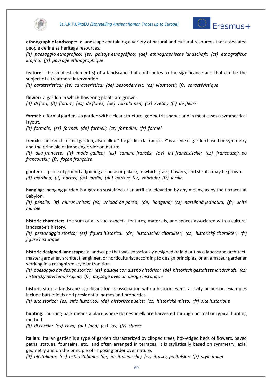



**ethnographic landscape:** a landscape containing a variety of natural and cultural resources that associated people define as heritage resources.

*(it) paesaggio etnografico; (es) paisaje etnográfico; (de) ethnographische landschaft; (cz) etnografická krajina; (fr) paysage ethnographique* 

feature: the smallest element(s) of a landscape that contributes to the significance and that can be the subject of a treatment intervention.

*(it) caratteristica; (es) característica; (de) besonderheit; (cz) vlastnosti; (fr) caractéristique* 

**flower:** a garden in which flowering plants are grown. *(it) di fiori; (lt) florum; (es) de flores; (de) von blumen; (cz) květin; (fr) de fleurs* 

**formal:** a formal garden is a garden with a clear structure, geometric shapes and in most cases a symmetrical layout.

*(it) formale; (es) formal; (de) formell; (cz) formální; (fr) formel* 

**french:** the french formal garden, also called "the jardin à la française" is a style of garden based on symmetry and the principle of imposing order on nature.

*(it) alla francese; (lt) modo gallico; (es) camino francés; (de) ins französische; (cz) francouzký, po francouzku; (fr) façon française* 

**garden:** a piece of ground adjoining a house or palace, in which grass, flowers, and shrubs may be grown. *(it) giardino; (lt) hortus; (es) jardín; (de) garten; (cz) zahrada; (fr) jardin* 

**hanging:** hanging garden is a garden sustained at an artificial elevation by any means, as by the terraces at Babylon.

*(it) pensile; (lt) murus unitas; (es) unidad de pared; (de) hängend; (cz) nástěnná jednotka; (fr) unité murale* 

**historic character:** the sum of all visual aspects, features, materials, and spaces associated with a cultural landscape's history.

*(it) personaggio storico; (es) figura histórica; (de) historischer charakter; (cz) historický charakter; (fr) figure historique* 

**historic designed landscape:** a landscape that was consciously designed or laid out by a landscape architect, master gardener, architect, engineer, or horticulturist according to design principles, or an amateur gardener working in a recognized style or tradition.

*(it) paesaggio dal design storico; (es) paisaje con diseño histórico; (de) historisch gestaltete landschaft; (cz) historicky navržená krajina; (fr) paysage avec un design historique* 

**historic site:** a landscape significant for its association with a historic event, activity or person. Examples include battlefields and presidential homes and properties.

*(it) sito storico; (es) sitio historico; (de) historische seite; (cz) historické místo; (fr) site historique* 

**hunting:** hunting park means a place where domestic elk are harvested through normal or typical hunting method.

*(it) di caccia; (es) caza; (de) jagd; (cz) lov; (fr) chasse* 

**italian:** italian garden is a type of garden characterized by clipped trees, box‐edged beds of flowers, paved paths, statues, fountains, etc., and often arranged in terraces. It is stylistically based on symmetry, axial geometry and on the principle of imposing order over nature.

*(it) all'italiana; (es) estilo italiano; (de) ins italienische; (cz) italský, po italsku; (fr) style italien*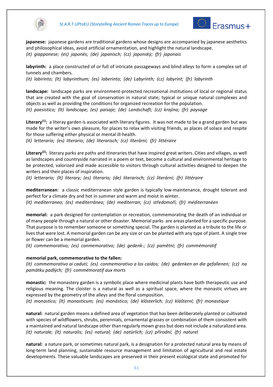



**japanese:** japanese gardens are traditional gardens whose designs are accompanied by japanese aesthetics and philosophical ideas, avoid artificial ornamentation, and highlight the natural landscape. *(it) giapponese; (es) japonés; (de) japanisch; (cz) japonský; (fr) japonais* 

**labyrinth:** a place constructed of or full of intricate passageways and blind alleys to form a complex set of tunnels and chambers.

*(it) labirinto; (lt) labyrinthum; (es) laberinto; (de) Labyrinth; (cz) labyrint; (fr) labyrinth* 

landscape: landscape parks are environment-protected recreational institutions of local or regional status that are created with the goal of conservation in natural state; typical or unique natural complexes and objects as well as providing the conditions for organized recreation for the population. *(it) paesistico; (lt) landscape; (es) paisaje; (de) Landschaft; (cz) krajina; (fr) paysage* 

Literary<sup>(1)</sup>: a literay garden is associated with literary figures. It was not made to be a grand garden but was made for the writer's own pleasure, for places to relax with visiting friends, as places of solace and respite for those suffering either physical or mental ill‐health.

*(it) letterario; (es) literario; (de) literarisch; (cz) literární; (fr) littéraire* 

Literary<sup>(2)</sup>: literary parks are paths and itineraries that have inspired great writers. Cities and villages, as well as landscapes and countryside narrated in a poem or text, become a cultural and environmental heritage to be protected, valorized and made accessible to visitors through cultural activities designed to deepen the writers and their places of inspiration.

*(it) letterario; (lt) literary; (es) literario; (de) literarisch; (cz) literární; (fr) littéraire* 

**mediterranean**: a classic mediterranean style garden is typically low‐maintenance, drought tolerant and perfect for a climate dry and hot in summer and warm and moist in winter. *(it) mediterraneo; (es) mediterráneo; (de) mediterran; (cz) středomoří; (fr) méditerranéen* 

**memorial:** a park designed for contemplation or recreation, commemorating the death of an individual or of many people through a natural or other disaster. Memorial parks are areas planted for a specific purpose. That purpose is to remember someone or something special. The garden is planted as a tribute to the life or lives that were lost. A memorial garden can be any size or can be planted with any type of plant. A single tree or flower can be a memorial garden.

*(it) commemorativo; (es) conmemorativo; (de) gedenk‐; (cz) pamětní; (fr) commémoratif* 

#### **memorial park, commemorative to the fallen:**

*(it) commemorativo ai caduti; (es) conmemorativo a los caídos; (de) gedenken an die gefallenen; (cz) na památku padlých; (fr) commémoratif aux morts* 

**monastic:** the monastery garden is a symbolic place where medicinal plants have both therapeutic use and religious meaning. The cloister is a natural as well as a spiritual space, where the monastic virtues are expressed by the geometry of the alleys and the floral composition.

*(it) monastico; (lt) monasticum; (es) monástico; (de) klösterlich; (cz) klášterní; (fr) monastique* 

**natural:** natural garden means a defined area of vegetation that has been deliberately planted or cultivated with species of wildflowers, shrubs, perennials, ornamental grasses or combination of them consistent with a maintained and natural landscape other than regularly mown grass but does not include a naturalized area. *(it) naturale; (lt) naturalis; (es) natural; (de) natürlich; (cz) přírodní; (fr) naturel* 

**natural:** a nature park, or sometimes natural park, is a designation for a protected natural area by means of long-term land planning, sustainable resource management and limitation of agricultural and real estate developments. These valuable landscapes are preserved in their present ecological state and promoted for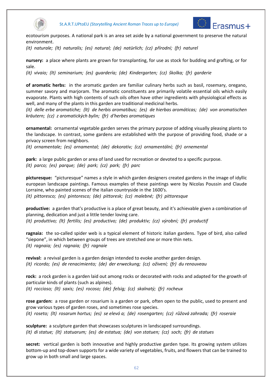



ecotourism purposes. A national park is an area set aside by a national government to preserve the natural environment.

*(it) naturale; (lt) naturalis; (es) natural; (de) natürlich; (cz) přírodní; (fr) naturel* 

**nursery:** a place where plants are grown for transplanting, for use as stock for budding and grafting, or for sale.

*(it) vivaio; (lt) seminarium; (es) guardería; (de) Kindergarten; (cz) školka; (fr) garderie* 

**of aromatic herbs:** in the aromatic garden are familiar culinary herbs such as basil, rosemary, oregano, summer savory and marjoram. The aromatic constituents are primarily volatile essential oils which easily evaporate. Plants with high contents of such oils often have other ingredients with physiological effects as well, and many of the plants in this garden are traditional medicinal herbs.

*(it) delle erbe aromatiche; (lt) de herbis aromatibus; (es) de hierbas aromáticas; (de) von aromatischen kräutern; (cz) z aromatických bylin; (fr) d'herbes aromatiques* 

**ornamental:** ornamental vegetable garden serves the primary purpose of adding visually pleasing plants to the landscape. In contrast, some gardens are established with the purpose of providing food, shade or a privacy screen from neighbors.

*(it) ornamentale; (es) ornamental; (de) dekorativ; (cz) ornamentální; (fr) ornemental* 

**park:** a large public garden or area of land used for recreation or devoted to a specific purpose. *(it) parco; (es) parque; (de) park; (cz) park; (fr) parc* 

**picturesque:** "picturesque" names a style in which garden designers created gardens in the image of idyllic european landscape paintings. Famous examples of these paintings were by Nicolas Poussin and Claude Lorraine, who painted scenes of the italian countryside in the 1600's.

*(it) pittoresco; (es) pintoresco; (de) pittoresk; (cz) malebné; (fr) pittoresque* 

**productive:** a garden that's productive is a place of great beauty, and it's achievable given a combination of planning, dedication and just a little tender loving care.

*(it) produttivo; (lt) fertilis; (es) productivo; (de) produktiv; (cz) výrobní; (fr) productif* 

ragnaia: the so-called spider web is a typical element of historic italian gardens. Type of bird, also called "siepone", in which between groups of trees are stretched one or more thin nets. *(it) ragnaia; (es) ragnaia; (fr) ragnaie* 

**revival:** a revival garden is a garden design intended to evoke another garden design. *(it) ricordo; (es) de renacimiento; (de) der erweckung; (cz) oživení; (fr) du renouveau* 

**rock:** a rock garden is a garden laid out among rocks or decorated with rocks and adapted for the growth of particular kinds of plants (such as alpines).

*(it) roccioso; (lt) saxis; (es) rocoso; (de) felsig; (cz) skalnatý; (fr) rocheux* 

**rose garden:** a rose garden or rosarium is a garden or park, often open to the public, used to present and grow various types of garden roses, and sometimes rose species. *(it) roseto; (lt) rosarum hortus; (es) se elevó a; (de) rosengarten; (cz) růžová zahrada; (fr) roseraie* 

**sculpture:** a sculpture garden that showcases sculptures in landscaped surroundings. *(it) di statue; (lt) statuarum; (es) de estatua; (de) von statuen; (cz) soch; (fr) de statues* 

secret: vertical garden is both innovative and highly productive garden type. Its growing system utilizes bottom‐up and top‐down supports for a wide variety of vegetables, fruits, and flowers that can be trained to grow up in both small and large spaces.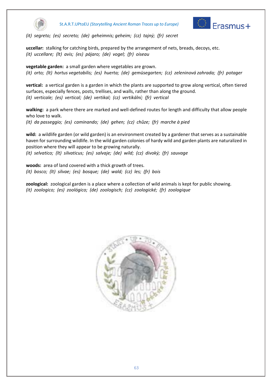



*(it) segreto; (es) secreto; (de) geheimnis; geheim; (cz) tajný; (fr) secret* 

**uccellar:** stalking for catching birds, prepared by the arrangement of nets, breads, decoys, etc. *(it) uccellare; (lt) avis; (es) pájaro; (de) vogel; (fr) oiseau* 

**vegetable garden:** a small garden where vegetables are grown. *(it) orto; (lt) hortus vegetabilis; (es) huerta; (de) gemüsegarten; (cz) zeleninová zahrada; (fr) potager* 

**vertical:** a vertical garden is a garden in which the plants are supported to grow along vertical, often tiered surfaces, especially fences, posts, trellises, and walls, rather than along the ground. *(it) verticale; (es) vertical; (de) vertikal; (cz) vertikální; (fr) vertical* 

**walking:** a park where there are marked and well‐defined routes for length and difficulty that allow people who love to walk.

*(it) da passeggio; (es) caminando; (de) gehen; (cz) chůze; (fr) marche à pied* 

**wild:** a wildlife garden (or wild garden) is an environment created by a gardener that serves as a sustainable haven for surrounding wildlife. In the wild garden colonies of hardy wild and garden plants are naturalized in position where they will appear to be growing naturally.

*(it) selvatico; (lt) silvaticus; (es) salvaje; (de) wild; (cz) divoký; (fr) sauvage* 

**woods:** area of land covered with a thick growth of trees. *(it) bosco; (lt) silvae; (es) bosque; (de) wald; (cz) les; (fr) bois* 

**zoological:** zoological garden is a place where a collection of wild animals is kept for public showing. *(it) zoologico; (es) zoológico; (de) zoologisch; (cz) zoologické; (fr) zoologique* 

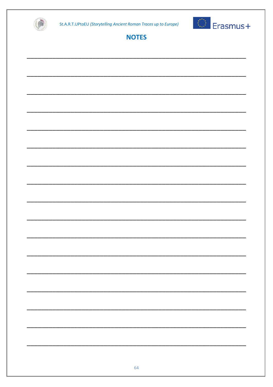

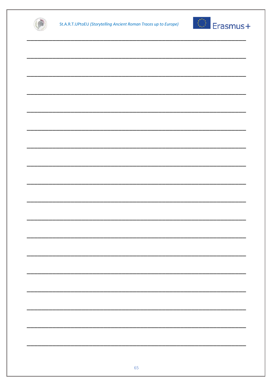

| 65 |  |
|----|--|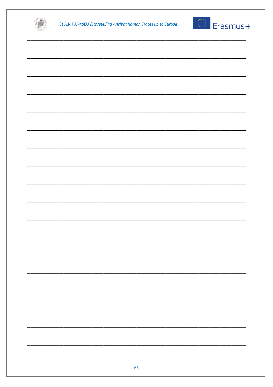

| 66 |  |
|----|--|
|    |  |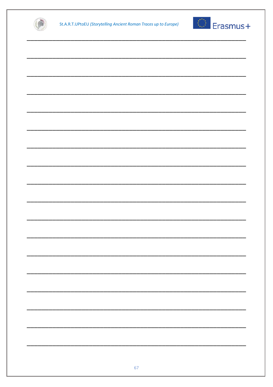

| 67 |
|----|
|    |